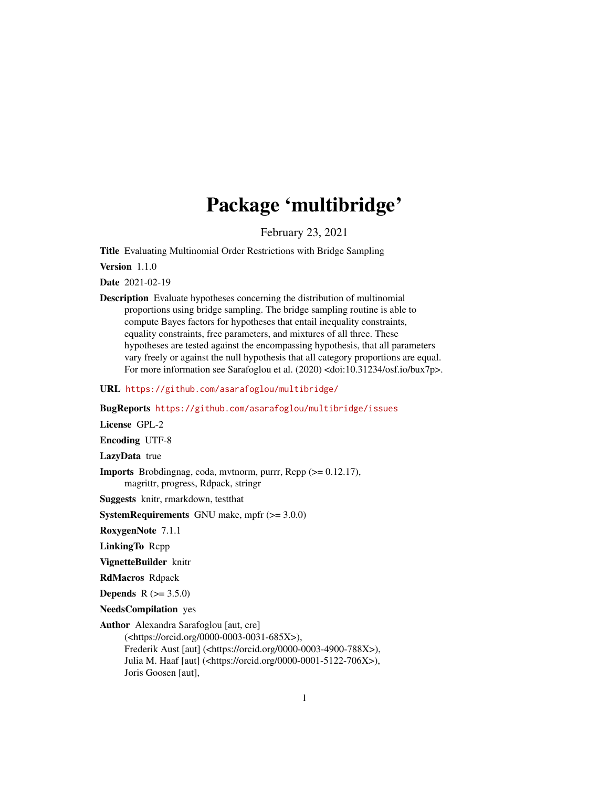# Package 'multibridge'

February 23, 2021

Title Evaluating Multinomial Order Restrictions with Bridge Sampling

Version 1.1.0

Date 2021-02-19

Description Evaluate hypotheses concerning the distribution of multinomial proportions using bridge sampling. The bridge sampling routine is able to compute Bayes factors for hypotheses that entail inequality constraints, equality constraints, free parameters, and mixtures of all three. These hypotheses are tested against the encompassing hypothesis, that all parameters vary freely or against the null hypothesis that all category proportions are equal. For more information see Sarafoglou et al. (2020) <doi:10.31234/osf.io/bux7p>.

URL <https://github.com/asarafoglou/multibridge/>

BugReports <https://github.com/asarafoglou/multibridge/issues>

License GPL-2

Encoding UTF-8

LazyData true

**Imports** Brobdingnag, coda, mythorm, purrr,  $\text{Rcpp} (> = 0.12.17)$ , magrittr, progress, Rdpack, stringr

Suggests knitr, rmarkdown, testthat

**SystemRequirements** GNU make, mpfr  $(>= 3.0.0)$ 

RoxygenNote 7.1.1

LinkingTo Rcpp

VignetteBuilder knitr

RdMacros Rdpack

**Depends**  $R (= 3.5.0)$ 

NeedsCompilation yes

Author Alexandra Sarafoglou [aut, cre]

(<https://orcid.org/0000-0003-0031-685X>), Frederik Aust [aut] (<https://orcid.org/0000-0003-4900-788X>), Julia M. Haaf [aut] (<https://orcid.org/0000-0001-5122-706X>), Joris Goosen [aut],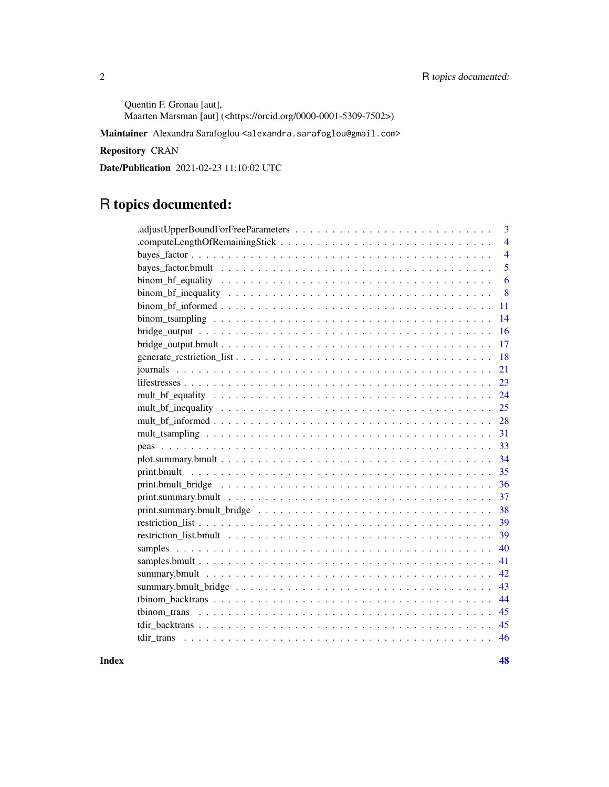Quentin F. Gronau [aut], Maarten Marsman [aut] (<https://orcid.org/0000-0001-5309-7502>)

Maintainer Alexandra Sarafoglou <alexandra.sarafoglou@gmail.com>

# Repository CRAN

Date/Publication 2021-02-23 11:10:02 UTC

# R topics documented:

| 3              |
|----------------|
| $\overline{4}$ |
| $\overline{4}$ |
| 5              |
| 6              |
| 8              |
| 11             |
| 14             |
| 16             |
| 17             |
| 18             |
| 21             |
| 23             |
| 24             |
| 25             |
| 28             |
| 31             |
| 33             |
| 34             |
| 35             |
| 36             |
| 37             |
| 38             |
| 39             |
| 39             |
| 40             |
| 41             |
| 42             |
| 43             |
| 44             |
| 45             |
| 45             |
| 46             |
|                |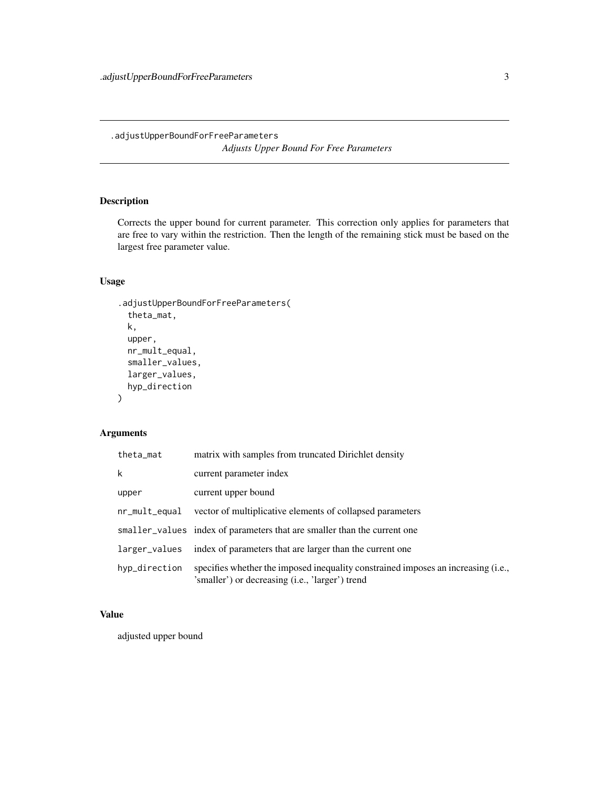<span id="page-2-0"></span>.adjustUpperBoundForFreeParameters *Adjusts Upper Bound For Free Parameters*

# Description

Corrects the upper bound for current parameter. This correction only applies for parameters that are free to vary within the restriction. Then the length of the remaining stick must be based on the largest free parameter value.

# Usage

```
.adjustUpperBoundForFreeParameters(
  theta_mat,
  k,
  upper,
  nr_mult_equal,
  smaller_values,
  larger_values,
  hyp_direction
\mathcal{L}
```
# Arguments

| theta_mat     | matrix with samples from truncated Dirichlet density                                                                                 |
|---------------|--------------------------------------------------------------------------------------------------------------------------------------|
| k             | current parameter index                                                                                                              |
| upper         | current upper bound                                                                                                                  |
| nr_mult_equal | vector of multiplicative elements of collapsed parameters                                                                            |
|               | smaller_values index of parameters that are smaller than the current one                                                             |
| larger_values | index of parameters that are larger than the current one                                                                             |
| hyp_direction | specifies whether the imposed inequality constrained imposes an increasing (i.e.,<br>'smaller') or decreasing (i.e., 'larger') trend |

# Value

adjusted upper bound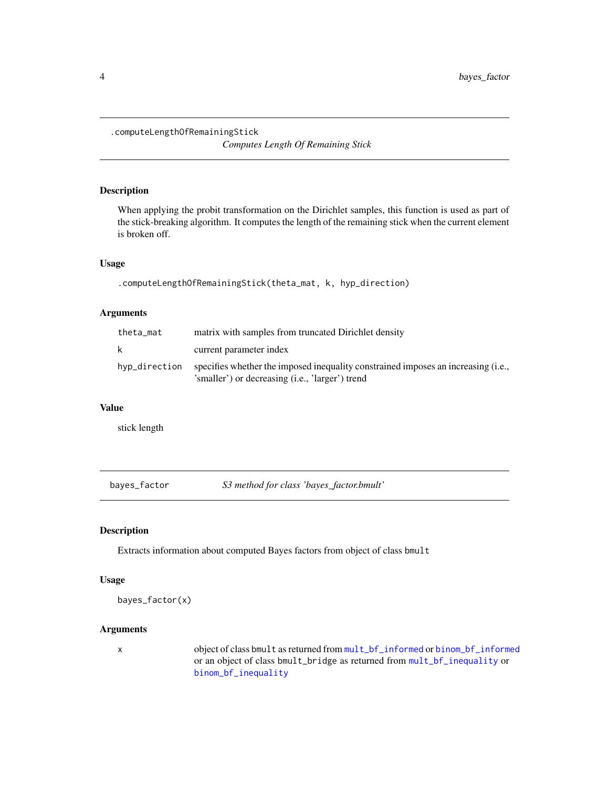<span id="page-3-0"></span>.computeLengthOfRemainingStick

*Computes Length Of Remaining Stick*

# Description

When applying the probit transformation on the Dirichlet samples, this function is used as part of the stick-breaking algorithm. It computes the length of the remaining stick when the current element is broken off.

#### Usage

```
.computeLengthOfRemainingStick(theta_mat, k, hyp_direction)
```
# Arguments

| theta_mat     | matrix with samples from truncated Dirichlet density                                                                                 |
|---------------|--------------------------------------------------------------------------------------------------------------------------------------|
| k             | current parameter index                                                                                                              |
| hyp_direction | specifies whether the imposed inequality constrained imposes an increasing (i.e.,<br>'smaller') or decreasing (i.e., 'larger') trend |

# Value

stick length

bayes\_factor *S3 method for class 'bayes\_factor.bmult'*

# Description

Extracts information about computed Bayes factors from object of class bmult

# Usage

```
bayes_factor(x)
```
# Arguments

x object of class bmult as returned from [mult\\_bf\\_informed](#page-27-1) or [binom\\_bf\\_informed](#page-10-1) or an object of class bmult\_bridge as returned from [mult\\_bf\\_inequality](#page-24-1) or [binom\\_bf\\_inequality](#page-7-1)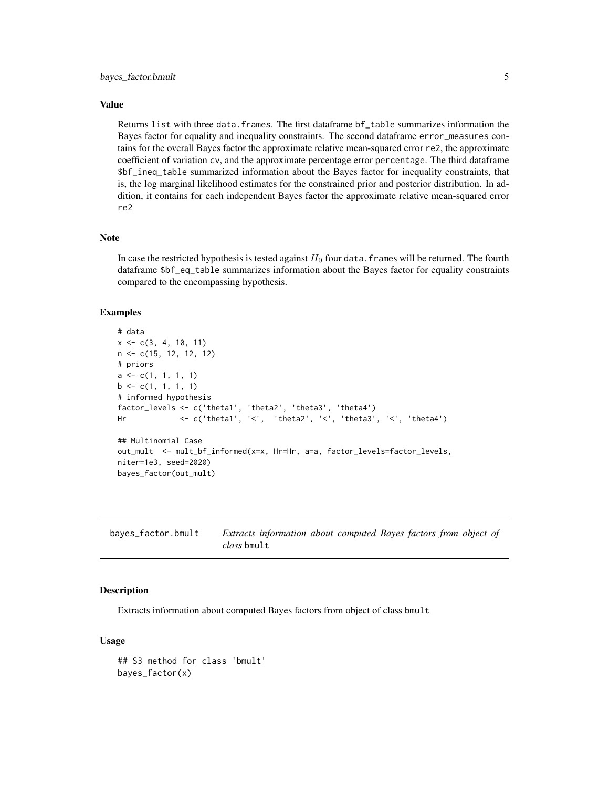# <span id="page-4-0"></span>Value

Returns list with three data.frames. The first dataframe bf\_table summarizes information the Bayes factor for equality and inequality constraints. The second dataframe error\_measures contains for the overall Bayes factor the approximate relative mean-squared error re2, the approximate coefficient of variation cv, and the approximate percentage error percentage. The third dataframe \$bf\_ineq\_table summarized information about the Bayes factor for inequality constraints, that is, the log marginal likelihood estimates for the constrained prior and posterior distribution. In addition, it contains for each independent Bayes factor the approximate relative mean-squared error re2

#### Note

In case the restricted hypothesis is tested against  $H_0$  four data. frames will be returned. The fourth dataframe \$bf\_eq\_table summarizes information about the Bayes factor for equality constraints compared to the encompassing hypothesis.

#### Examples

```
# data
x \leq -c(3, 4, 10, 11)n <- c(15, 12, 12, 12)
# priors
a \leftarrow c(1, 1, 1, 1)b \leq c(1, 1, 1, 1)# informed hypothesis
factor_levels <- c('theta1', 'theta2', 'theta3', 'theta4')
Hr <- c('theta1', '<', 'theta2', '<', 'theta3', '<', 'theta4')
## Multinomial Case
out_mult <- mult_bf_informed(x=x, Hr=Hr, a=a, factor_levels=factor_levels,
niter=1e3, seed=2020)
bayes_factor(out_mult)
```

| bayes_factor.bmult | Extracts information about computed Bayes factors from object of |  |  |
|--------------------|------------------------------------------------------------------|--|--|
|                    | <i>class</i> bmult                                               |  |  |

# Description

Extracts information about computed Bayes factors from object of class bmult

#### Usage

```
## S3 method for class 'bmult'
bayes_factor(x)
```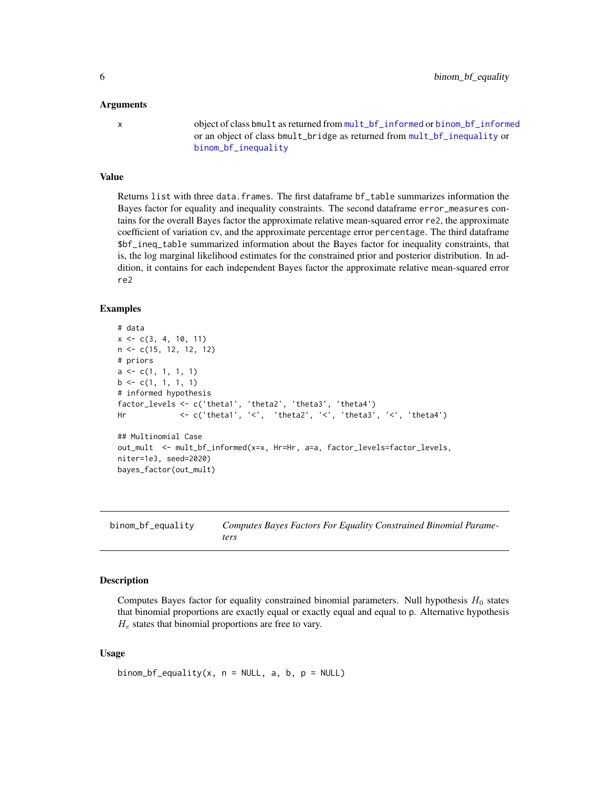#### <span id="page-5-0"></span>Arguments

x object of class bmult as returned from [mult\\_bf\\_informed](#page-27-1) or [binom\\_bf\\_informed](#page-10-1) or an object of class bmult\_bridge as returned from [mult\\_bf\\_inequality](#page-24-1) or [binom\\_bf\\_inequality](#page-7-1)

## Value

Returns list with three data.frames. The first dataframe bf\_table summarizes information the Bayes factor for equality and inequality constraints. The second dataframe error\_measures contains for the overall Bayes factor the approximate relative mean-squared error re2, the approximate coefficient of variation cv, and the approximate percentage error percentage. The third dataframe \$bf\_ineq\_table summarized information about the Bayes factor for inequality constraints, that is, the log marginal likelihood estimates for the constrained prior and posterior distribution. In addition, it contains for each independent Bayes factor the approximate relative mean-squared error re2

#### Examples

```
# data
x \leq -c(3, 4, 10, 11)n <- c(15, 12, 12, 12)
# priors
a \leftarrow c(1, 1, 1, 1)b \leq c(1, 1, 1, 1)# informed hypothesis
factor_levels <- c('theta1', 'theta2', 'theta3', 'theta4')
Hr <- c('theta1', '<', 'theta2', '<', 'theta3', '<', 'theta4')
## Multinomial Case
out_mult <- mult_bf_informed(x=x, Hr=Hr, a=a, factor_levels=factor_levels,
niter=1e3, seed=2020)
bayes_factor(out_mult)
```
<span id="page-5-1"></span>binom\_bf\_equality *Computes Bayes Factors For Equality Constrained Binomial Parameters*

# **Description**

Computes Bayes factor for equality constrained binomial parameters. Null hypothesis  $H_0$  states that binomial proportions are exactly equal or exactly equal and equal to p. Alternative hypothesis  $H_e$  states that binomial proportions are free to vary.

# Usage

binom\_bf\_equality(x,  $n = NULL$ , a, b,  $p = NULL$ )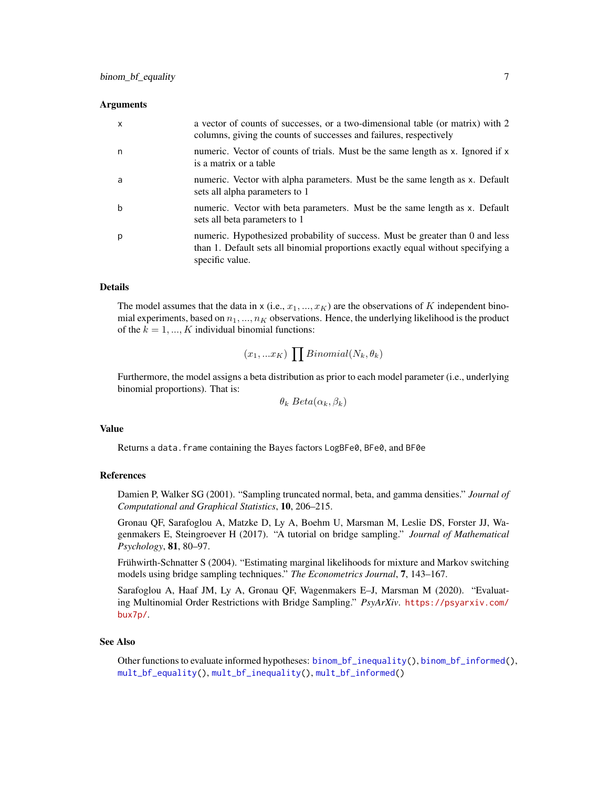#### <span id="page-6-0"></span>**Arguments**

| $\mathsf{x}$ | a vector of counts of successes, or a two-dimensional table (or matrix) with 2<br>columns, giving the counts of successes and failures, respectively                                 |
|--------------|--------------------------------------------------------------------------------------------------------------------------------------------------------------------------------------|
| n            | numeric. Vector of counts of trials. Must be the same length as x. Ignored if x<br>is a matrix or a table                                                                            |
| a            | numeric. Vector with alpha parameters. Must be the same length as x. Default<br>sets all alpha parameters to 1                                                                       |
| b            | numeric. Vector with beta parameters. Must be the same length as x. Default<br>sets all beta parameters to 1                                                                         |
| p            | numeric. Hypothesized probability of success. Must be greater than 0 and less<br>than 1. Default sets all binomial proportions exactly equal without specifying a<br>specific value. |

# Details

The model assumes that the data in x (i.e.,  $x_1, ..., x_K$ ) are the observations of K independent binomial experiments, based on  $n_1, ..., n_K$  observations. Hence, the underlying likelihood is the product of the  $k = 1, ..., K$  individual binomial functions:

$$
(x_1,...x_K)\prod Binomial(N_k,\theta_k)
$$

Furthermore, the model assigns a beta distribution as prior to each model parameter (i.e., underlying binomial proportions). That is:

 $\theta_k \text{Beta}(\alpha_k, \beta_k)$ 

## Value

Returns a data. frame containing the Bayes factors LogBFe0, BFe0, and BF0e

# References

Damien P, Walker SG (2001). "Sampling truncated normal, beta, and gamma densities." *Journal of Computational and Graphical Statistics*, 10, 206–215.

Gronau QF, Sarafoglou A, Matzke D, Ly A, Boehm U, Marsman M, Leslie DS, Forster JJ, Wagenmakers E, Steingroever H (2017). "A tutorial on bridge sampling." *Journal of Mathematical Psychology*, 81, 80–97.

Frühwirth-Schnatter S (2004). "Estimating marginal likelihoods for mixture and Markov switching models using bridge sampling techniques." *The Econometrics Journal*, 7, 143–167.

Sarafoglou A, Haaf JM, Ly A, Gronau QF, Wagenmakers E–J, Marsman M (2020). "Evaluating Multinomial Order Restrictions with Bridge Sampling." *PsyArXiv*. [https://psyarxiv.com/](https://psyarxiv.com/bux7p/) [bux7p/](https://psyarxiv.com/bux7p/).

#### See Also

Other functions to evaluate informed hypotheses: [binom\\_bf\\_inequality\(](#page-7-1)), [binom\\_bf\\_informed\(](#page-10-1)), [mult\\_bf\\_equality\(](#page-23-1)), [mult\\_bf\\_inequality\(](#page-24-1)), [mult\\_bf\\_informed\(](#page-27-1))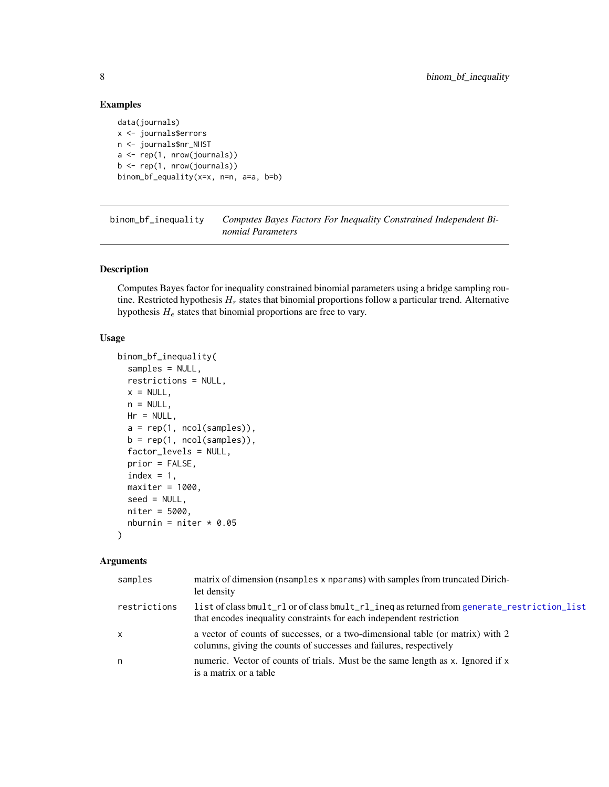# Examples

data(journals) x <- journals\$errors n <- journals\$nr\_NHST  $a \leftarrow \text{rep}(1, \text{ nrow}(journals))$  $b \leftarrow \text{rep}(1, \text{ nrow}(journals))$ binom\_bf\_equality(x=x, n=n, a=a, b=b)

<span id="page-7-1"></span>binom\_bf\_inequality *Computes Bayes Factors For Inequality Constrained Independent Binomial Parameters*

# Description

Computes Bayes factor for inequality constrained binomial parameters using a bridge sampling routine. Restricted hypothesis  $H_r$  states that binomial proportions follow a particular trend. Alternative hypothesis  $H_e$  states that binomial proportions are free to vary.

# Usage

```
binom_bf_inequality(
  samples = NULL,
 restrictions = NULL,
 x = NULL,n = NULL,Hr = NULL,a = rep(1, ncol(samples)),b = rep(1, ncol(samples)),factor_levels = NULL,
 prior = FALSE,
  index = 1,maxiter = 1000,seed = NULL,
 niter = 5000,
 nburnin = niter * 0.05
)
```
#### Arguments

| samples      | matrix of dimension (nsamples x nparams) with samples from truncated Dirich-<br>let density                                                                         |
|--------------|---------------------------------------------------------------------------------------------------------------------------------------------------------------------|
| restrictions | list of class bmult_rl or of class bmult_rl_ineq as returned from generate_restriction_list<br>that encodes inequality constraints for each independent restriction |
| $\mathsf{X}$ | a vector of counts of successes, or a two-dimensional table (or matrix) with 2<br>columns, giving the counts of successes and failures, respectively                |
| n            | numeric. Vector of counts of trials. Must be the same length as x. Ignored if x<br>is a matrix or a table                                                           |

<span id="page-7-0"></span>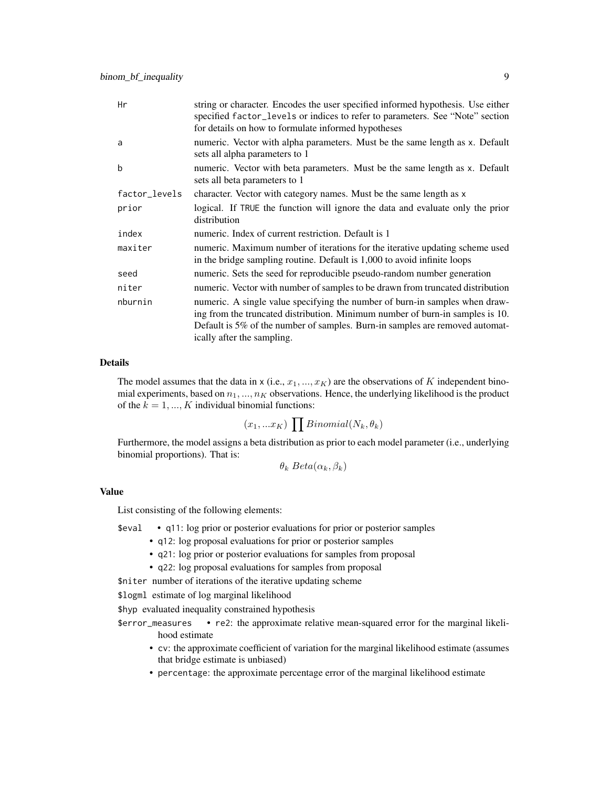| Hr            | string or character. Encodes the user specified informed hypothesis. Use either<br>specified factor_levels or indices to refer to parameters. See "Note" section<br>for details on how to formulate informed hypotheses                                                    |
|---------------|----------------------------------------------------------------------------------------------------------------------------------------------------------------------------------------------------------------------------------------------------------------------------|
| a             | numeric. Vector with alpha parameters. Must be the same length as x. Default<br>sets all alpha parameters to 1                                                                                                                                                             |
| b             | numeric. Vector with beta parameters. Must be the same length as x. Default<br>sets all beta parameters to 1                                                                                                                                                               |
| factor_levels | character. Vector with category names. Must be the same length as x                                                                                                                                                                                                        |
| prior         | logical. If TRUE the function will ignore the data and evaluate only the prior<br>distribution                                                                                                                                                                             |
| index         | numeric. Index of current restriction. Default is 1                                                                                                                                                                                                                        |
| maxiter       | numeric. Maximum number of iterations for the iterative updating scheme used<br>in the bridge sampling routine. Default is 1,000 to avoid infinite loops                                                                                                                   |
| seed          | numeric. Sets the seed for reproducible pseudo-random number generation                                                                                                                                                                                                    |
| niter         | numeric. Vector with number of samples to be drawn from truncated distribution                                                                                                                                                                                             |
| nburnin       | numeric. A single value specifying the number of burn-in samples when draw-<br>ing from the truncated distribution. Minimum number of burn-in samples is 10.<br>Default is 5% of the number of samples. Burn-in samples are removed automat-<br>ically after the sampling. |

# Details

The model assumes that the data in x (i.e.,  $x_1, ..., x_K$ ) are the observations of K independent binomial experiments, based on  $n_1, ..., n_K$  observations. Hence, the underlying likelihood is the product of the  $k = 1, ..., K$  individual binomial functions:

$$
(x_1,...x_K)\prod Binomial(N_k,\theta_k)
$$

Furthermore, the model assigns a beta distribution as prior to each model parameter (i.e., underlying binomial proportions). That is:

 $\theta_k \text{Beta}(\alpha_k, \beta_k)$ 

# Value

List consisting of the following elements:

\$eval • q11: log prior or posterior evaluations for prior or posterior samples

- q12: log proposal evaluations for prior or posterior samples
- q21: log prior or posterior evaluations for samples from proposal
- q22: log proposal evaluations for samples from proposal

\$niter number of iterations of the iterative updating scheme

\$logml estimate of log marginal likelihood

\$hyp evaluated inequality constrained hypothesis

- \$error\_measures re2: the approximate relative mean-squared error for the marginal likelihood estimate
	- cv: the approximate coefficient of variation for the marginal likelihood estimate (assumes that bridge estimate is unbiased)
	- percentage: the approximate percentage error of the marginal likelihood estimate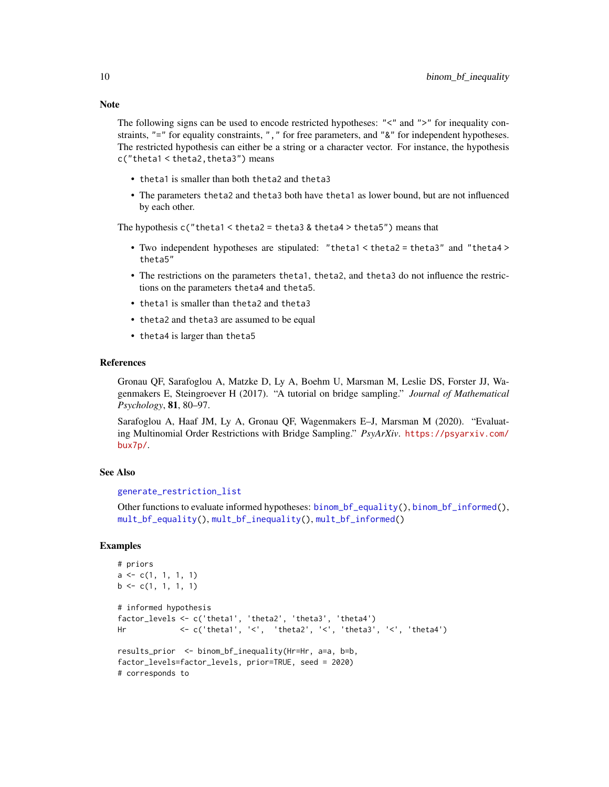Note

The following signs can be used to encode restricted hypotheses: "<" and ">" for inequality constraints, "=" for equality constraints, ", " for free parameters, and "&" for independent hypotheses. The restricted hypothesis can either be a string or a character vector. For instance, the hypothesis c("theta1 < theta2,theta3") means

- theta1 is smaller than both theta2 and theta3
- The parameters theta2 and theta3 both have theta1 as lower bound, but are not influenced by each other.

The hypothesis  $c$  ("theta1 < theta2 = theta3 & theta4 > theta5") means that

- Two independent hypotheses are stipulated: "theta1 < theta2 = theta3" and "theta4 > theta5"
- The restrictions on the parameters theta1, theta2, and theta3 do not influence the restrictions on the parameters theta4 and theta5.
- theta1 is smaller than theta2 and theta3
- theta2 and theta3 are assumed to be equal
- theta4 is larger than theta5

#### References

Gronau QF, Sarafoglou A, Matzke D, Ly A, Boehm U, Marsman M, Leslie DS, Forster JJ, Wagenmakers E, Steingroever H (2017). "A tutorial on bridge sampling." *Journal of Mathematical Psychology*, 81, 80–97.

Sarafoglou A, Haaf JM, Ly A, Gronau QF, Wagenmakers E–J, Marsman M (2020). "Evaluating Multinomial Order Restrictions with Bridge Sampling." *PsyArXiv*. [https://psyarxiv.com/](https://psyarxiv.com/bux7p/) [bux7p/](https://psyarxiv.com/bux7p/).

#### See Also

#### [generate\\_restriction\\_list](#page-17-1)

Other functions to evaluate informed hypotheses: [binom\\_bf\\_equality\(](#page-5-1)), [binom\\_bf\\_informed\(](#page-10-1)), [mult\\_bf\\_equality\(](#page-23-1)), [mult\\_bf\\_inequality\(](#page-24-1)), [mult\\_bf\\_informed\(](#page-27-1))

# Examples

```
# priors
a \leftarrow c(1, 1, 1, 1)b \leq c(1, 1, 1, 1)# informed hypothesis
factor_levels <- c('theta1', 'theta2', 'theta3', 'theta4')
Hr <- c('theta1', '<', 'theta2', '<', 'theta3', '<', 'theta4')
results_prior <- binom_bf_inequality(Hr=Hr, a=a, b=b,
factor_levels=factor_levels, prior=TRUE, seed = 2020)
# corresponds to
```
<span id="page-9-0"></span>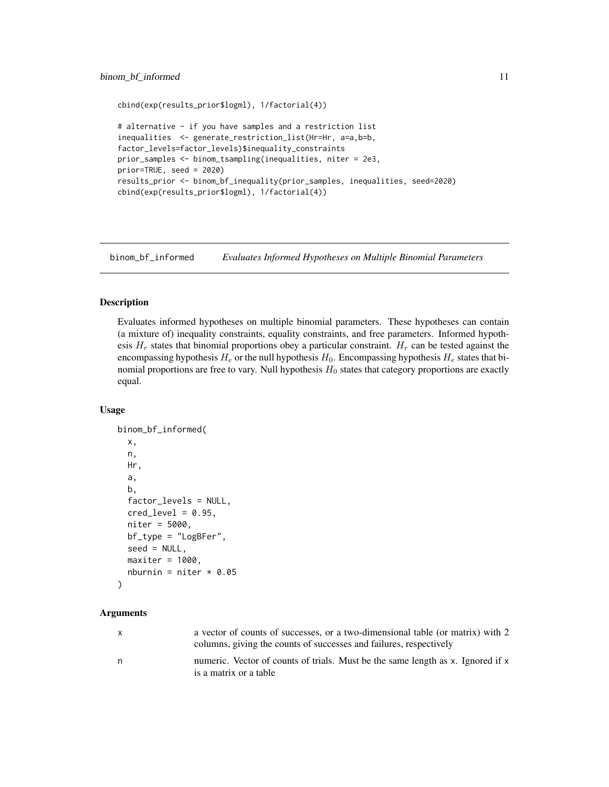# <span id="page-10-0"></span>binom\_bf\_informed 11

```
cbind(exp(results_prior$logml), 1/factorial(4))
# alternative - if you have samples and a restriction list
inequalities <- generate_restriction_list(Hr=Hr, a=a,b=b,
factor_levels=factor_levels)$inequality_constraints
prior_samples <- binom_tsampling(inequalities, niter = 2e3,
prior=TRUE, seed = 2020)
results_prior <- binom_bf_inequality(prior_samples, inequalities, seed=2020)
cbind(exp(results_prior$logml), 1/factorial(4))
```
<span id="page-10-1"></span>binom\_bf\_informed *Evaluates Informed Hypotheses on Multiple Binomial Parameters*

# Description

Evaluates informed hypotheses on multiple binomial parameters. These hypotheses can contain (a mixture of) inequality constraints, equality constraints, and free parameters. Informed hypothesis  $H_r$  states that binomial proportions obey a particular constraint.  $H_r$  can be tested against the encompassing hypothesis  $H_e$  or the null hypothesis  $H_0$ . Encompassing hypothesis  $H_e$  states that binomial proportions are free to vary. Null hypothesis  $H_0$  states that category proportions are exactly equal.

#### Usage

```
binom_bf_informed(
  x,
  n,
  Hr,
  a,
  b,
  factor_levels = NULL,
  cred\_level = 0.95,
  niter = 5000,
  bf_type = "LogBFer",
  seed = NULL,
  maxiter = 1000,
  nburnin = niter * 0.05\mathcal{L}
```
# Arguments

| $\mathsf{x}$ | a vector of counts of successes, or a two-dimensional table (or matrix) with 2<br>columns, giving the counts of successes and failures, respectively |
|--------------|------------------------------------------------------------------------------------------------------------------------------------------------------|
| n            | numeric. Vector of counts of trials. Must be the same length as x. Ignored if x<br>is a matrix or a table                                            |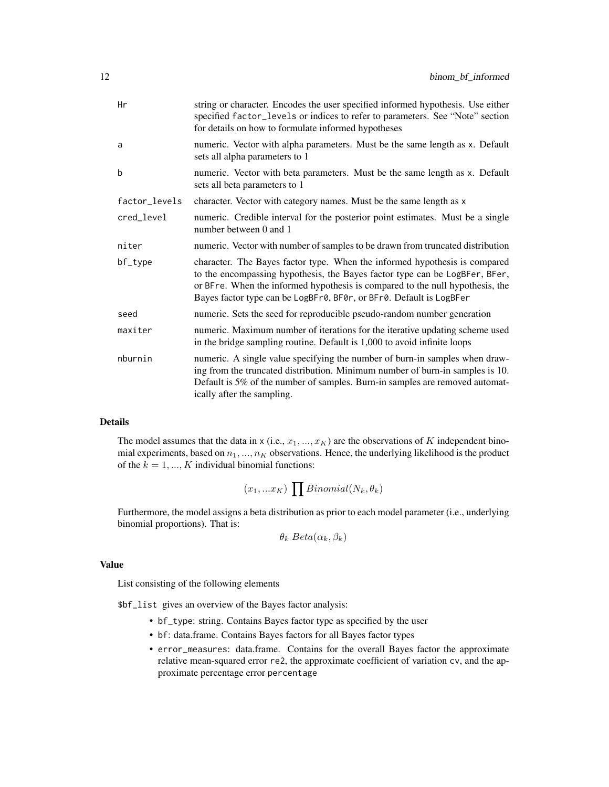| string or character. Encodes the user specified informed hypothesis. Use either<br>specified factor_levels or indices to refer to parameters. See "Note" section<br>for details on how to formulate informed hypotheses                                                                                           |
|-------------------------------------------------------------------------------------------------------------------------------------------------------------------------------------------------------------------------------------------------------------------------------------------------------------------|
| numeric. Vector with alpha parameters. Must be the same length as x. Default<br>sets all alpha parameters to 1                                                                                                                                                                                                    |
| numeric. Vector with beta parameters. Must be the same length as x. Default<br>sets all beta parameters to 1                                                                                                                                                                                                      |
| character. Vector with category names. Must be the same length as x                                                                                                                                                                                                                                               |
| numeric. Credible interval for the posterior point estimates. Must be a single<br>number between 0 and 1                                                                                                                                                                                                          |
| numeric. Vector with number of samples to be drawn from truncated distribution                                                                                                                                                                                                                                    |
| character. The Bayes factor type. When the informed hypothesis is compared<br>to the encompassing hypothesis, the Bayes factor type can be LogBFer, BFer,<br>or BFre. When the informed hypothesis is compared to the null hypothesis, the<br>Bayes factor type can be LogBFr0, BF0r, or BFr0. Default is LogBFer |
| numeric. Sets the seed for reproducible pseudo-random number generation                                                                                                                                                                                                                                           |
| numeric. Maximum number of iterations for the iterative updating scheme used<br>in the bridge sampling routine. Default is 1,000 to avoid infinite loops                                                                                                                                                          |
| numeric. A single value specifying the number of burn-in samples when draw-<br>ing from the truncated distribution. Minimum number of burn-in samples is 10.<br>Default is 5% of the number of samples. Burn-in samples are removed automat-<br>ically after the sampling.                                        |
|                                                                                                                                                                                                                                                                                                                   |

# Details

The model assumes that the data in x (i.e.,  $x_1, ..., x_K$ ) are the observations of K independent binomial experiments, based on  $n_1, ..., n_K$  observations. Hence, the underlying likelihood is the product of the  $k = 1, ..., K$  individual binomial functions:

$$
(x_1,...x_K)\,\prod Binomial(N_k,\theta_k)
$$

Furthermore, the model assigns a beta distribution as prior to each model parameter (i.e., underlying binomial proportions). That is:

$$
\theta_k \text{ Beta}(\alpha_k, \beta_k)
$$

# Value

List consisting of the following elements

\$bf\_list gives an overview of the Bayes factor analysis:

- bf\_type: string. Contains Bayes factor type as specified by the user
- bf: data.frame. Contains Bayes factors for all Bayes factor types
- error\_measures: data.frame. Contains for the overall Bayes factor the approximate relative mean-squared error re2, the approximate coefficient of variation cv, and the approximate percentage error percentage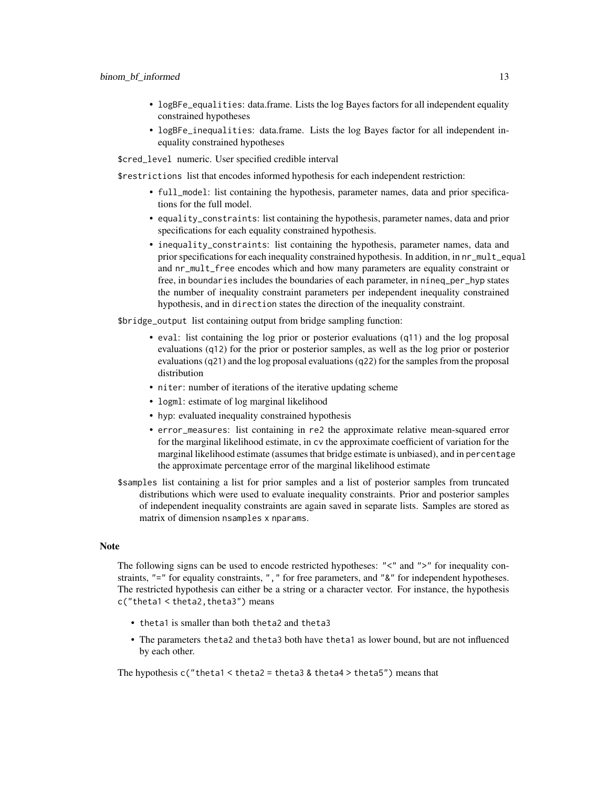- logBFe\_equalities: data.frame. Lists the log Bayes factors for all independent equality constrained hypotheses
- logBFe\_inequalities: data.frame. Lists the log Bayes factor for all independent inequality constrained hypotheses

\$cred\_level numeric. User specified credible interval

\$restrictions list that encodes informed hypothesis for each independent restriction:

- full\_model: list containing the hypothesis, parameter names, data and prior specifications for the full model.
- equality\_constraints: list containing the hypothesis, parameter names, data and prior specifications for each equality constrained hypothesis.
- inequality\_constraints: list containing the hypothesis, parameter names, data and prior specifications for each inequality constrained hypothesis. In addition, in nr\_mult\_equal and nr\_mult\_free encodes which and how many parameters are equality constraint or free, in boundaries includes the boundaries of each parameter, in nineq\_per\_hyp states the number of inequality constraint parameters per independent inequality constrained hypothesis, and in direction states the direction of the inequality constraint.

\$bridge\_output list containing output from bridge sampling function:

- eval: list containing the log prior or posterior evaluations (q11) and the log proposal evaluations (q12) for the prior or posterior samples, as well as the log prior or posterior evaluations (q21) and the log proposal evaluations (q22) for the samples from the proposal distribution
- niter: number of iterations of the iterative updating scheme
- logml: estimate of log marginal likelihood
- hyp: evaluated inequality constrained hypothesis
- error\_measures: list containing in re2 the approximate relative mean-squared error for the marginal likelihood estimate, in cv the approximate coefficient of variation for the marginal likelihood estimate (assumes that bridge estimate is unbiased), and in percentage the approximate percentage error of the marginal likelihood estimate
- \$samples list containing a list for prior samples and a list of posterior samples from truncated distributions which were used to evaluate inequality constraints. Prior and posterior samples of independent inequality constraints are again saved in separate lists. Samples are stored as matrix of dimension nsamples x nparams.

# **Note**

The following signs can be used to encode restricted hypotheses: "<" and ">" for inequality constraints, "=" for equality constraints, ", " for free parameters, and "&" for independent hypotheses. The restricted hypothesis can either be a string or a character vector. For instance, the hypothesis c("theta1 < theta2,theta3") means

- theta1 is smaller than both theta2 and theta3
- The parameters theta2 and theta3 both have theta1 as lower bound, but are not influenced by each other.

The hypothesis  $c$  ("theta1 < theta2 = theta3 & theta4 > theta5") means that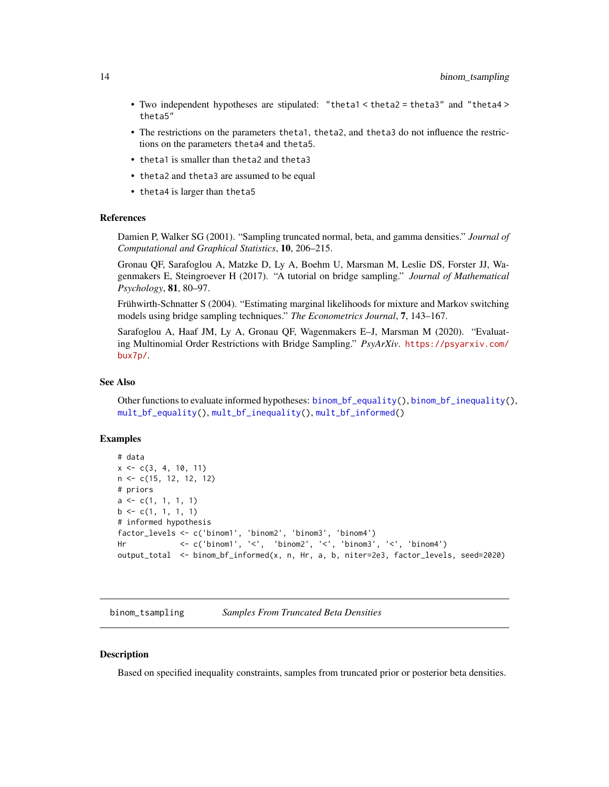- <span id="page-13-0"></span>• Two independent hypotheses are stipulated: "theta1 < theta2 = theta3" and "theta4 > theta5"
- The restrictions on the parameters theta1, theta2, and theta3 do not influence the restrictions on the parameters theta4 and theta5.
- theta1 is smaller than theta2 and theta3
- theta2 and theta3 are assumed to be equal
- theta4 is larger than theta5

# References

Damien P, Walker SG (2001). "Sampling truncated normal, beta, and gamma densities." *Journal of Computational and Graphical Statistics*, 10, 206–215.

Gronau QF, Sarafoglou A, Matzke D, Ly A, Boehm U, Marsman M, Leslie DS, Forster JJ, Wagenmakers E, Steingroever H (2017). "A tutorial on bridge sampling." *Journal of Mathematical Psychology*, 81, 80–97.

Frühwirth-Schnatter S (2004). "Estimating marginal likelihoods for mixture and Markov switching models using bridge sampling techniques." *The Econometrics Journal*, 7, 143–167.

Sarafoglou A, Haaf JM, Ly A, Gronau QF, Wagenmakers E–J, Marsman M (2020). "Evaluating Multinomial Order Restrictions with Bridge Sampling." *PsyArXiv*. [https://psyarxiv.com/](https://psyarxiv.com/bux7p/) [bux7p/](https://psyarxiv.com/bux7p/).

# See Also

Other functions to evaluate informed hypotheses: [binom\\_bf\\_equality\(](#page-5-1)), [binom\\_bf\\_inequality\(](#page-7-1)), [mult\\_bf\\_equality\(](#page-23-1)), [mult\\_bf\\_inequality\(](#page-24-1)), [mult\\_bf\\_informed\(](#page-27-1))

#### Examples

```
# data
x \leq -c(3, 4, 10, 11)n <- c(15, 12, 12, 12)
# priors
a \leftarrow c(1, 1, 1, 1)b \leq c(1, 1, 1, 1)# informed hypothesis
factor_levels <- c('binom1', 'binom2', 'binom3', 'binom4')
Hr <- c('binom1', '<', 'binom2', '<', 'binom3', '<', 'binom4')
output_total <- binom_bf_informed(x, n, Hr, a, b, niter=2e3, factor_levels, seed=2020)
```
binom\_tsampling *Samples From Truncated Beta Densities*

#### **Description**

Based on specified inequality constraints, samples from truncated prior or posterior beta densities.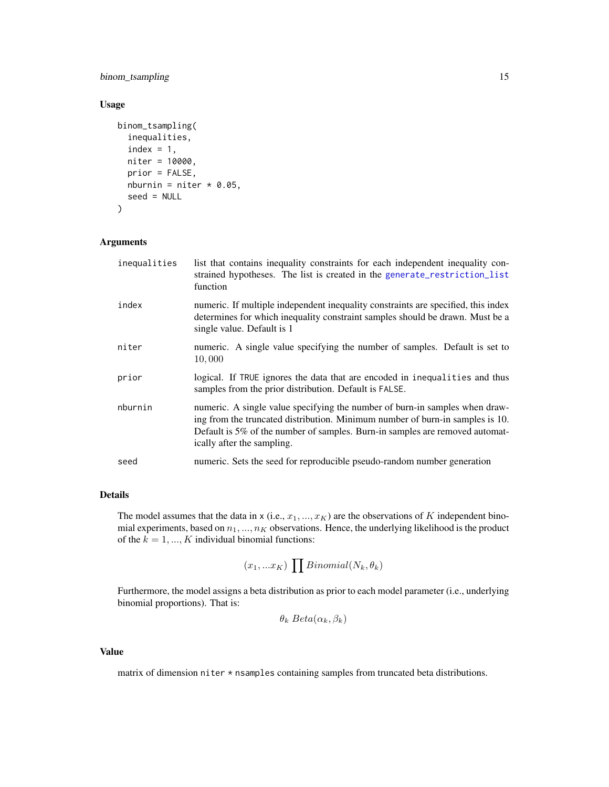# <span id="page-14-0"></span>binom\_tsampling 15

# Usage

```
binom_tsampling(
  inequalities,
  index = 1,niter = 10000,
  prior = FALSE,
  nburnin = niter * 0.05,
  seed = NULL
\mathcal{L}
```
# Arguments

| inequalities | list that contains inequality constraints for each independent inequality con-<br>strained hypotheses. The list is created in the generate_restriction_list<br>function                                                                                                    |
|--------------|----------------------------------------------------------------------------------------------------------------------------------------------------------------------------------------------------------------------------------------------------------------------------|
| index        | numeric. If multiple independent inequality constraints are specified, this index<br>determines for which inequality constraint samples should be drawn. Must be a<br>single value. Default is 1                                                                           |
| niter        | numeric. A single value specifying the number of samples. Default is set to<br>10,000                                                                                                                                                                                      |
| prior        | logical. If TRUE ignores the data that are encoded in inequalities and thus<br>samples from the prior distribution. Default is FALSE.                                                                                                                                      |
| nburnin      | numeric. A single value specifying the number of burn-in samples when draw-<br>ing from the truncated distribution. Minimum number of burn-in samples is 10.<br>Default is 5% of the number of samples. Burn-in samples are removed automat-<br>ically after the sampling. |
| seed         | numeric. Sets the seed for reproducible pseudo-random number generation                                                                                                                                                                                                    |

# Details

The model assumes that the data in x (i.e.,  $x_1, ..., x_K$ ) are the observations of K independent binomial experiments, based on  $n_1, ..., n_K$  observations. Hence, the underlying likelihood is the product of the  $k = 1, ..., K$  individual binomial functions:

$$
(x_1,...x_K)\prod Binomial(N_k,\theta_k)
$$

Furthermore, the model assigns a beta distribution as prior to each model parameter (i.e., underlying binomial proportions). That is:

$$
\theta_k \text{ Beta}(\alpha_k, \beta_k)
$$

# Value

matrix of dimension niter \* nsamples containing samples from truncated beta distributions.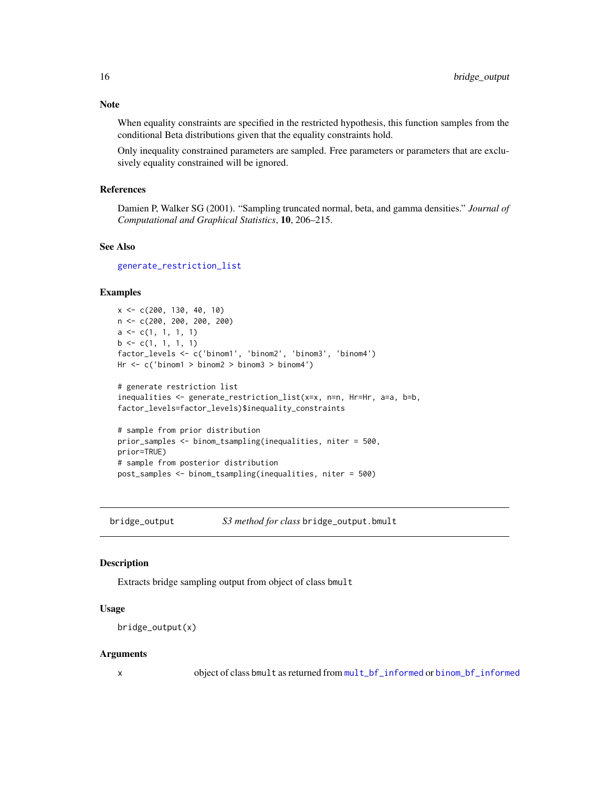# <span id="page-15-0"></span>Note

When equality constraints are specified in the restricted hypothesis, this function samples from the conditional Beta distributions given that the equality constraints hold.

Only inequality constrained parameters are sampled. Free parameters or parameters that are exclusively equality constrained will be ignored.

#### References

Damien P, Walker SG (2001). "Sampling truncated normal, beta, and gamma densities." *Journal of Computational and Graphical Statistics*, 10, 206–215.

# See Also

[generate\\_restriction\\_list](#page-17-1)

#### Examples

```
x <- c(200, 130, 40, 10)
n <- c(200, 200, 200, 200)
a \leftarrow c(1, 1, 1, 1)b \leq c(1, 1, 1, 1)factor_levels <- c('binom1', 'binom2', 'binom3', 'binom4')
Hr <- c('binom1 > binom2 > binom3 > binom4')
# generate restriction list
inequalities <- generate_restriction_list(x=x, n=n, Hr=Hr, a=a, b=b,
factor_levels=factor_levels)$inequality_constraints
# sample from prior distribution
```

```
prior_samples <- binom_tsampling(inequalities, niter = 500,
prior=TRUE)
# sample from posterior distribution
post_samples <- binom_tsampling(inequalities, niter = 500)
```
bridge\_output *S3 method for class* bridge\_output.bmult

#### Description

Extracts bridge sampling output from object of class bmult

#### Usage

```
bridge_output(x)
```
#### Arguments

x object of class bmult as returned from [mult\\_bf\\_informed](#page-27-1) or [binom\\_bf\\_informed](#page-10-1)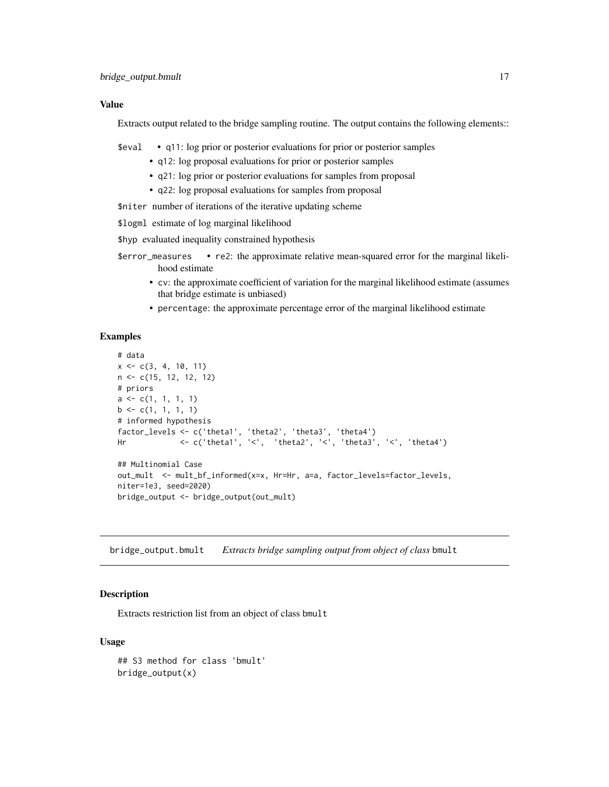# <span id="page-16-0"></span>Value

Extracts output related to the bridge sampling routine. The output contains the following elements::

\$eval • q11: log prior or posterior evaluations for prior or posterior samples

- q12: log proposal evaluations for prior or posterior samples
- q21: log prior or posterior evaluations for samples from proposal
- q22: log proposal evaluations for samples from proposal

\$niter number of iterations of the iterative updating scheme

\$logml estimate of log marginal likelihood

\$hyp evaluated inequality constrained hypothesis

- \$error\_measures re2: the approximate relative mean-squared error for the marginal likelihood estimate
	- cv: the approximate coefficient of variation for the marginal likelihood estimate (assumes that bridge estimate is unbiased)
	- percentage: the approximate percentage error of the marginal likelihood estimate

# Examples

```
# data
x \leq -c(3, 4, 10, 11)n <- c(15, 12, 12, 12)
# priors
a \leftarrow c(1, 1, 1, 1)b \leftarrow c(1, 1, 1, 1)# informed hypothesis
factor_levels <- c('theta1', 'theta2', 'theta3', 'theta4')
Hr <- c('theta1', '<', 'theta2', '<', 'theta3', '<', 'theta4')
## Multinomial Case
out_mult <- mult_bf_informed(x=x, Hr=Hr, a=a, factor_levels=factor_levels,
niter=1e3, seed=2020)
bridge_output <- bridge_output(out_mult)
```
bridge\_output.bmult *Extracts bridge sampling output from object of class* bmult

# Description

Extracts restriction list from an object of class bmult

#### Usage

```
## S3 method for class 'bmult'
bridge_output(x)
```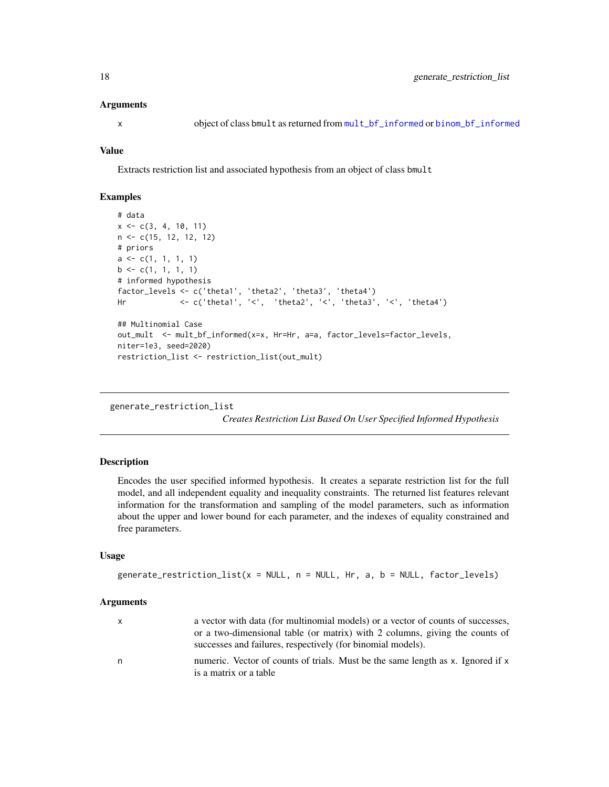#### <span id="page-17-0"></span>Arguments

## Value

Extracts restriction list and associated hypothesis from an object of class bmult

# Examples

```
# data
x \leq -c(3, 4, 10, 11)n <- c(15, 12, 12, 12)
# priors
a \leq c(1, 1, 1, 1)b \leq c(1, 1, 1, 1)# informed hypothesis
factor_levels <- c('theta1', 'theta2', 'theta3', 'theta4')
Hr <- c('theta1', '<', 'theta2', '<', 'theta3', '<', 'theta4')
## Multinomial Case
out_mult <- mult_bf_informed(x=x, Hr=Hr, a=a, factor_levels=factor_levels,
niter=1e3, seed=2020)
restriction_list <- restriction_list(out_mult)
```

```
generate_restriction_list
```
*Creates Restriction List Based On User Specified Informed Hypothesis*

#### Description

Encodes the user specified informed hypothesis. It creates a separate restriction list for the full model, and all independent equality and inequality constraints. The returned list features relevant information for the transformation and sampling of the model parameters, such as information about the upper and lower bound for each parameter, and the indexes of equality constrained and free parameters.

# Usage

```
generate_restriction_list(x = NULL, n = NULL, Hr, a, b = NULL, factor_levels)
```
#### Arguments

| a vector with data (for multinomial models) or a vector of counts of successes, |
|---------------------------------------------------------------------------------|
| or a two-dimensional table (or matrix) with 2 columns, giving the counts of     |
| successes and failures, respectively (for binomial models).                     |
| numeric. Vector of counts of trials. Must be the same length as x. Ignored if x |
|                                                                                 |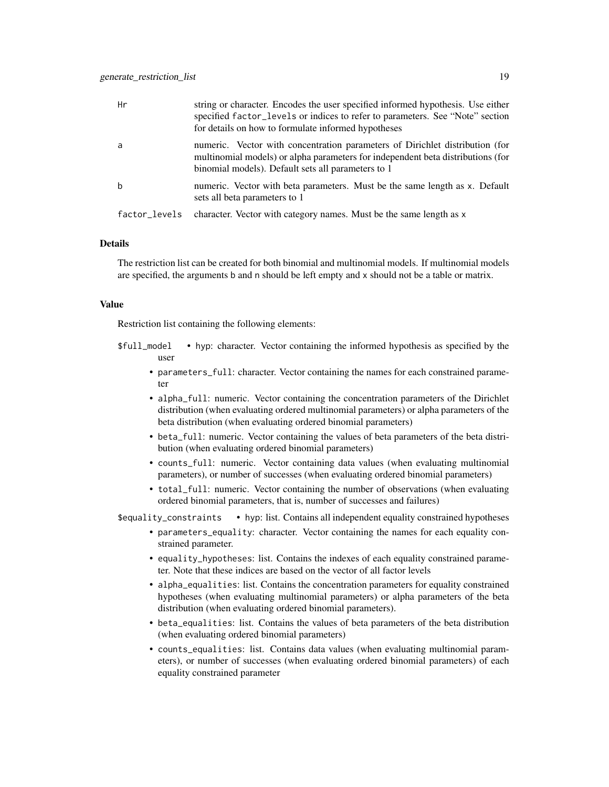| Hr            | string or character. Encodes the user specified informed hypothesis. Use either<br>specified factor_levels or indices to refer to parameters. See "Note" section<br>for details on how to formulate informed hypotheses |
|---------------|-------------------------------------------------------------------------------------------------------------------------------------------------------------------------------------------------------------------------|
| a             | numeric. Vector with concentration parameters of Dirichlet distribution (for<br>multinomial models) or alpha parameters for independent beta distributions (for<br>binomial models). Default sets all parameters to 1   |
| b             | numeric. Vector with beta parameters. Must be the same length as x. Default<br>sets all beta parameters to 1                                                                                                            |
| factor_levels | character. Vector with category names. Must be the same length as x                                                                                                                                                     |

#### Details

The restriction list can be created for both binomial and multinomial models. If multinomial models are specified, the arguments b and n should be left empty and x should not be a table or matrix.

#### Value

Restriction list containing the following elements:

- \$full\_model hyp: character. Vector containing the informed hypothesis as specified by the user
	- parameters\_full: character. Vector containing the names for each constrained parameter
	- alpha\_full: numeric. Vector containing the concentration parameters of the Dirichlet distribution (when evaluating ordered multinomial parameters) or alpha parameters of the beta distribution (when evaluating ordered binomial parameters)
	- beta\_full: numeric. Vector containing the values of beta parameters of the beta distribution (when evaluating ordered binomial parameters)
	- counts\_full: numeric. Vector containing data values (when evaluating multinomial parameters), or number of successes (when evaluating ordered binomial parameters)
	- total\_full: numeric. Vector containing the number of observations (when evaluating ordered binomial parameters, that is, number of successes and failures)

\$equality\_constraints • hyp: list. Contains all independent equality constrained hypotheses

- parameters\_equality: character. Vector containing the names for each equality constrained parameter.
- equality\_hypotheses: list. Contains the indexes of each equality constrained parameter. Note that these indices are based on the vector of all factor levels
- alpha\_equalities: list. Contains the concentration parameters for equality constrained hypotheses (when evaluating multinomial parameters) or alpha parameters of the beta distribution (when evaluating ordered binomial parameters).
- beta\_equalities: list. Contains the values of beta parameters of the beta distribution (when evaluating ordered binomial parameters)
- counts\_equalities: list. Contains data values (when evaluating multinomial parameters), or number of successes (when evaluating ordered binomial parameters) of each equality constrained parameter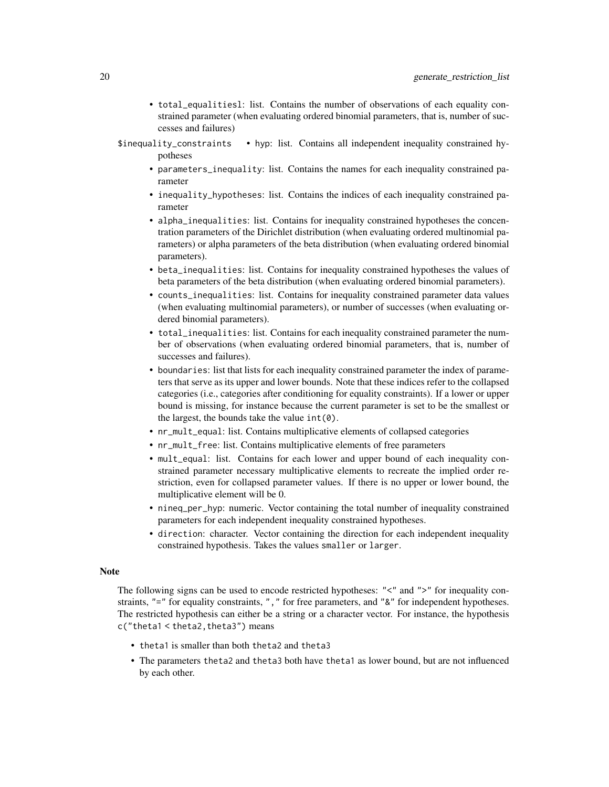- total\_equalitiesl: list. Contains the number of observations of each equality constrained parameter (when evaluating ordered binomial parameters, that is, number of successes and failures)
- \$inequality\_constraints hyp: list. Contains all independent inequality constrained hypotheses
	- parameters\_inequality: list. Contains the names for each inequality constrained parameter
	- inequality\_hypotheses: list. Contains the indices of each inequality constrained parameter
	- alpha\_inequalities: list. Contains for inequality constrained hypotheses the concentration parameters of the Dirichlet distribution (when evaluating ordered multinomial parameters) or alpha parameters of the beta distribution (when evaluating ordered binomial parameters).
	- beta\_inequalities: list. Contains for inequality constrained hypotheses the values of beta parameters of the beta distribution (when evaluating ordered binomial parameters).
	- counts\_inequalities: list. Contains for inequality constrained parameter data values (when evaluating multinomial parameters), or number of successes (when evaluating ordered binomial parameters).
	- total\_inequalities: list. Contains for each inequality constrained parameter the number of observations (when evaluating ordered binomial parameters, that is, number of successes and failures).
	- boundaries: list that lists for each inequality constrained parameter the index of parameters that serve as its upper and lower bounds. Note that these indices refer to the collapsed categories (i.e., categories after conditioning for equality constraints). If a lower or upper bound is missing, for instance because the current parameter is set to be the smallest or the largest, the bounds take the value  $int(0)$ .
	- nr\_mult\_equal: list. Contains multiplicative elements of collapsed categories
	- nr\_mult\_free: list. Contains multiplicative elements of free parameters
	- mult\_equal: list. Contains for each lower and upper bound of each inequality constrained parameter necessary multiplicative elements to recreate the implied order restriction, even for collapsed parameter values. If there is no upper or lower bound, the multiplicative element will be 0.
	- nineq\_per\_hyp: numeric. Vector containing the total number of inequality constrained parameters for each independent inequality constrained hypotheses.
	- direction: character. Vector containing the direction for each independent inequality constrained hypothesis. Takes the values smaller or larger.

#### Note

The following signs can be used to encode restricted hypotheses: "<" and ">" for inequality constraints, "=" for equality constraints, ", " for free parameters, and "&" for independent hypotheses. The restricted hypothesis can either be a string or a character vector. For instance, the hypothesis c("theta1 < theta2,theta3") means

- theta1 is smaller than both theta2 and theta3
- The parameters theta2 and theta3 both have theta1 as lower bound, but are not influenced by each other.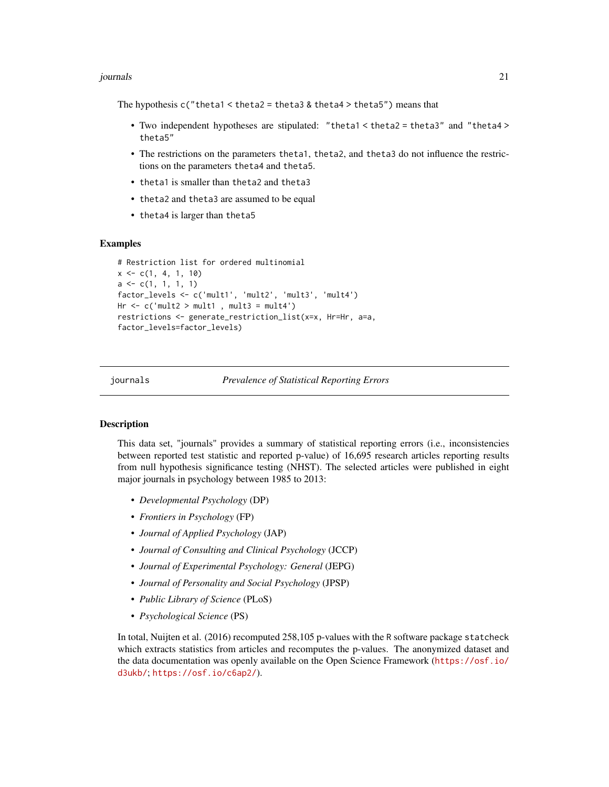#### <span id="page-20-0"></span>journals 21

The hypothesis  $c''$  theta1 < theta2 = theta3 & theta4 > theta5") means that

- Two independent hypotheses are stipulated: "theta1 < theta2 = theta3" and "theta4 > theta5"
- The restrictions on the parameters theta1, theta2, and theta3 do not influence the restrictions on the parameters theta4 and theta5.
- theta1 is smaller than theta2 and theta3
- theta2 and theta3 are assumed to be equal
- theta4 is larger than theta5

#### Examples

```
# Restriction list for ordered multinomial
x \leq -c(1, 4, 1, 10)a \leftarrow c(1, 1, 1, 1)factor_levels <- c('mult1', 'mult2', 'mult3', 'mult4')
Hr \leq c('mult2 > mult1 , mult3 = mult4')restrictions <- generate_restriction_list(x=x, Hr=Hr, a=a,
factor_levels=factor_levels)
```
journals *Prevalence of Statistical Reporting Errors*

#### Description

This data set, "journals" provides a summary of statistical reporting errors (i.e., inconsistencies between reported test statistic and reported p-value) of 16,695 research articles reporting results from null hypothesis significance testing (NHST). The selected articles were published in eight major journals in psychology between 1985 to 2013:

- *Developmental Psychology* (DP)
- *Frontiers in Psychology* (FP)
- *Journal of Applied Psychology* (JAP)
- *Journal of Consulting and Clinical Psychology* (JCCP)
- *Journal of Experimental Psychology: General* (JEPG)
- *Journal of Personality and Social Psychology* (JPSP)
- *Public Library of Science* (PLoS)
- *Psychological Science* (PS)

In total, Nuijten et al. (2016) recomputed 258,105 p-values with the R software package statcheck which extracts statistics from articles and recomputes the p-values. The anonymized dataset and the data documentation was openly available on the Open Science Framework ([https://osf.io/](https://osf.io/d3ukb/) [d3ukb/](https://osf.io/d3ukb/); <https://osf.io/c6ap2/>).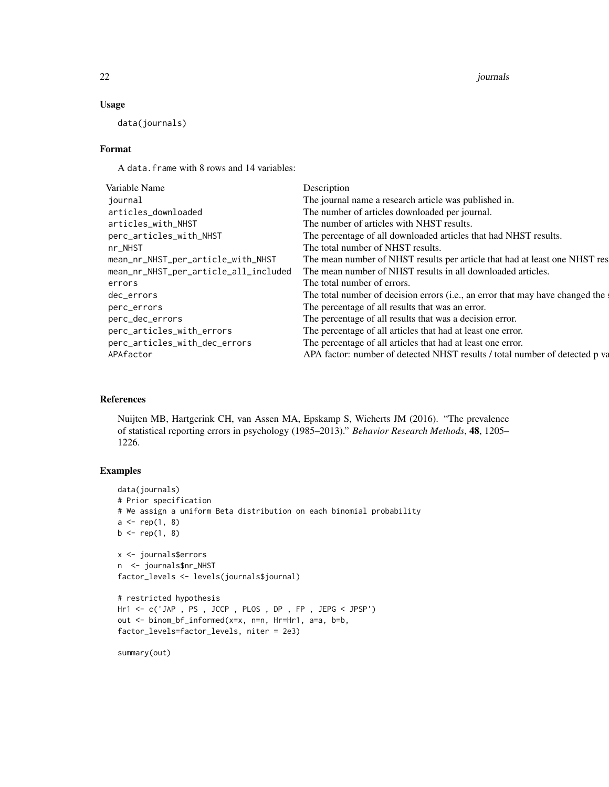#### 22 *journals journals journals journals journals journals journals journals*

# Usage

data(journals)

# Format

A data.frame with 8 rows and 14 variables:

| Variable Name                         | Description                                                                   |
|---------------------------------------|-------------------------------------------------------------------------------|
| iournal                               | The journal name a research article was published in.                         |
| articles_downloaded                   | The number of articles downloaded per journal.                                |
| articles_with_NHST                    | The number of articles with NHST results.                                     |
| perc_articles_with_NHST               | The percentage of all downloaded articles that had NHST results.              |
| $nr_NHST$                             | The total number of NHST results.                                             |
| mean_nr_NHST_per_article_with_NHST    | The mean number of NHST results per article that had at least one NHST res    |
| mean_nr_NHST_per_article_all_included | The mean number of NHST results in all downloaded articles.                   |
| errors                                | The total number of errors.                                                   |
| dec_errors                            | The total number of decision errors (i.e., an error that may have changed the |
| perc_errors                           | The percentage of all results that was an error.                              |
| perc_dec_errors                       | The percentage of all results that was a decision error.                      |
| perc_articles_with_errors             | The percentage of all articles that had at least one error.                   |
| perc_articles_with_dec_errors         | The percentage of all articles that had at least one error.                   |
| APAfactor                             | APA factor: number of detected NHST results / total number of detected p va   |
|                                       |                                                                               |

# References

Nuijten MB, Hartgerink CH, van Assen MA, Epskamp S, Wicherts JM (2016). "The prevalence of statistical reporting errors in psychology (1985–2013)." *Behavior Research Methods*, 48, 1205– 1226.

# Examples

```
data(journals)
# Prior specification
# We assign a uniform Beta distribution on each binomial probability
a \leftarrow rep(1, 8)b \leq rep(1, 8)x <- journals$errors
n <- journals$nr_NHST
factor_levels <- levels(journals$journal)
# restricted hypothesis
Hr1 <- c('JAP , PS , JCCP , PLOS , DP , FP , JEPG < JPSP')
out <- binom_bf_informed(x=x, n=n, Hr=Hr1, a=a, b=b,
factor_levels=factor_levels, niter = 2e3)
summary(out)
```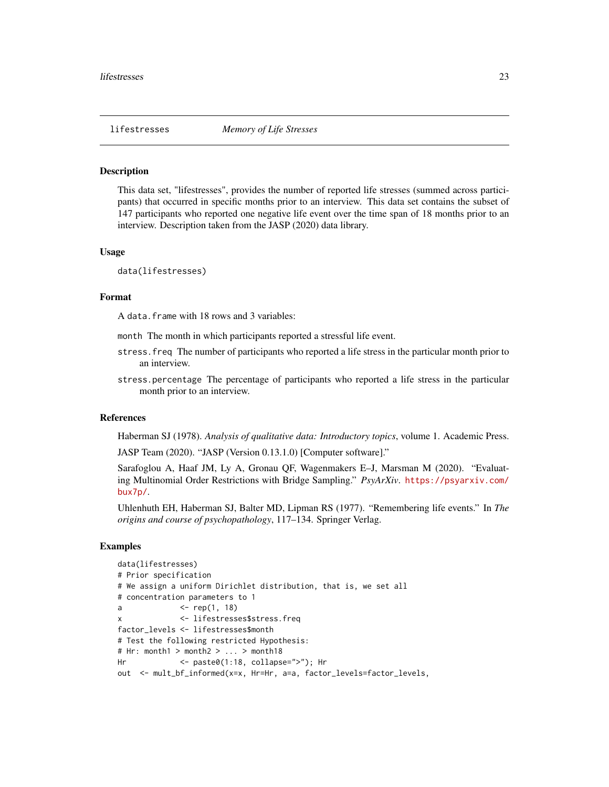#### <span id="page-22-0"></span>Description

This data set, "lifestresses", provides the number of reported life stresses (summed across participants) that occurred in specific months prior to an interview. This data set contains the subset of 147 participants who reported one negative life event over the time span of 18 months prior to an interview. Description taken from the JASP (2020) data library.

#### Usage

data(lifestresses)

#### Format

A data.frame with 18 rows and 3 variables:

month The month in which participants reported a stressful life event.

- stress.freq The number of participants who reported a life stress in the particular month prior to an interview.
- stress.percentage The percentage of participants who reported a life stress in the particular month prior to an interview.

# References

Haberman SJ (1978). *Analysis of qualitative data: Introductory topics*, volume 1. Academic Press.

JASP Team (2020). "JASP (Version 0.13.1.0) [Computer software]."

Sarafoglou A, Haaf JM, Ly A, Gronau QF, Wagenmakers E–J, Marsman M (2020). "Evaluating Multinomial Order Restrictions with Bridge Sampling." *PsyArXiv*. [https://psyarxiv.com/](https://psyarxiv.com/bux7p/) [bux7p/](https://psyarxiv.com/bux7p/).

Uhlenhuth EH, Haberman SJ, Balter MD, Lipman RS (1977). "Remembering life events." In *The origins and course of psychopathology*, 117–134. Springer Verlag.

#### Examples

```
data(lifestresses)
# Prior specification
# We assign a uniform Dirichlet distribution, that is, we set all
# concentration parameters to 1
a <- rep(1, 18)
x <- lifestresses$stress.freq
factor_levels <- lifestresses$month
# Test the following restricted Hypothesis:
# Hr: month1 > month2 > ... > month18
Hr <- paste0(1:18, collapse=">"); Hr
out <- mult_bf_informed(x=x, Hr=Hr, a=a, factor_levels=factor_levels,
```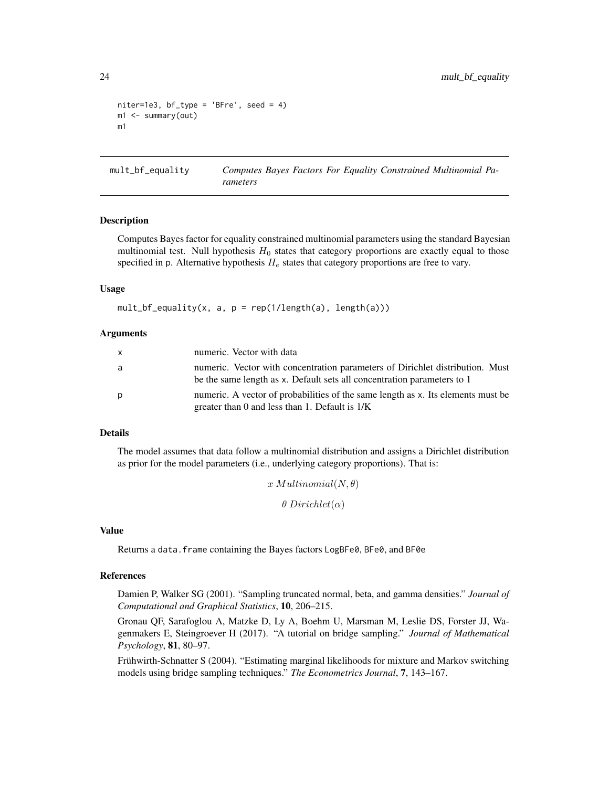```
niter=1e3, bf\_type = 'BFre', seed = 4)m1 <- summary(out)
m1
```
<span id="page-23-1"></span>mult\_bf\_equality *Computes Bayes Factors For Equality Constrained Multinomial Parameters*

#### **Description**

Computes Bayes factor for equality constrained multinomial parameters using the standard Bayesian multinomial test. Null hypothesis  $H_0$  states that category proportions are exactly equal to those specified in p. Alternative hypothesis  $H_e$  states that category proportions are free to vary.

#### Usage

 $mult_bf_{equality}(x, a, p = rep(1/length(a), length(a)))$ 

# Arguments

| $\mathsf{x}$ | numeric. Vector with data                                                                                                                                |
|--------------|----------------------------------------------------------------------------------------------------------------------------------------------------------|
| a            | numeric. Vector with concentration parameters of Dirichlet distribution. Must<br>be the same length as x. Default sets all concentration parameters to 1 |
| p            | numeric. A vector of probabilities of the same length as x. Its elements must be<br>greater than 0 and less than 1. Default is $1/K$                     |

#### Details

The model assumes that data follow a multinomial distribution and assigns a Dirichlet distribution as prior for the model parameters (i.e., underlying category proportions). That is:

```
x Multinomial(N, \theta)\theta Dirichlet(\alpha)
```
# Value

Returns a data. frame containing the Bayes factors LogBFe0, BFe0, and BF0e

# References

Damien P, Walker SG (2001). "Sampling truncated normal, beta, and gamma densities." *Journal of Computational and Graphical Statistics*, 10, 206–215.

Gronau QF, Sarafoglou A, Matzke D, Ly A, Boehm U, Marsman M, Leslie DS, Forster JJ, Wagenmakers E, Steingroever H (2017). "A tutorial on bridge sampling." *Journal of Mathematical Psychology*, 81, 80–97.

Frühwirth-Schnatter S (2004). "Estimating marginal likelihoods for mixture and Markov switching models using bridge sampling techniques." *The Econometrics Journal*, 7, 143–167.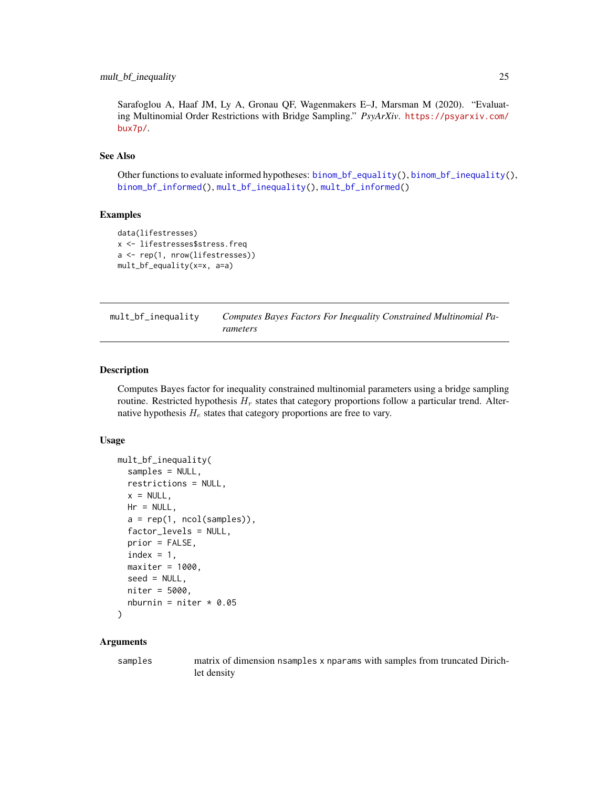# <span id="page-24-0"></span>mult\_bf\_inequality 25

Sarafoglou A, Haaf JM, Ly A, Gronau QF, Wagenmakers E–J, Marsman M (2020). "Evaluating Multinomial Order Restrictions with Bridge Sampling." *PsyArXiv*. [https://psyarxiv.com/](https://psyarxiv.com/bux7p/) [bux7p/](https://psyarxiv.com/bux7p/).

# See Also

Other functions to evaluate informed hypotheses: [binom\\_bf\\_equality\(](#page-5-1)), [binom\\_bf\\_inequality\(](#page-7-1)), [binom\\_bf\\_informed\(](#page-10-1)), [mult\\_bf\\_inequality\(](#page-24-1)), [mult\\_bf\\_informed\(](#page-27-1))

#### Examples

```
data(lifestresses)
x <- lifestresses$stress.freq
a <- rep(1, nrow(lifestresses))
mult_bf_equality(x=x, a=a)
```
<span id="page-24-1"></span>

| mult_bf_inequality | Computes Bayes Factors For Inequality Constrained Multinomial Pa- |
|--------------------|-------------------------------------------------------------------|
|                    | rameters                                                          |

#### Description

Computes Bayes factor for inequality constrained multinomial parameters using a bridge sampling routine. Restricted hypothesis  $H_r$  states that category proportions follow a particular trend. Alternative hypothesis  $H_e$  states that category proportions are free to vary.

# Usage

```
mult_bf_inequality(
  samples = NULL,
 restrictions = NULL,
 x = NULL,Hr = NULL,a = rep(1, ncol(samples)),factor_levels = NULL,
 prior = FALSE,
  index = 1,maxiter = 1000,seed = NULL,
 niter = 5000,
 nburnin = niter * 0.05
```

```
)
```
# Arguments

samples matrix of dimension nsamples x nparams with samples from truncated Dirichlet density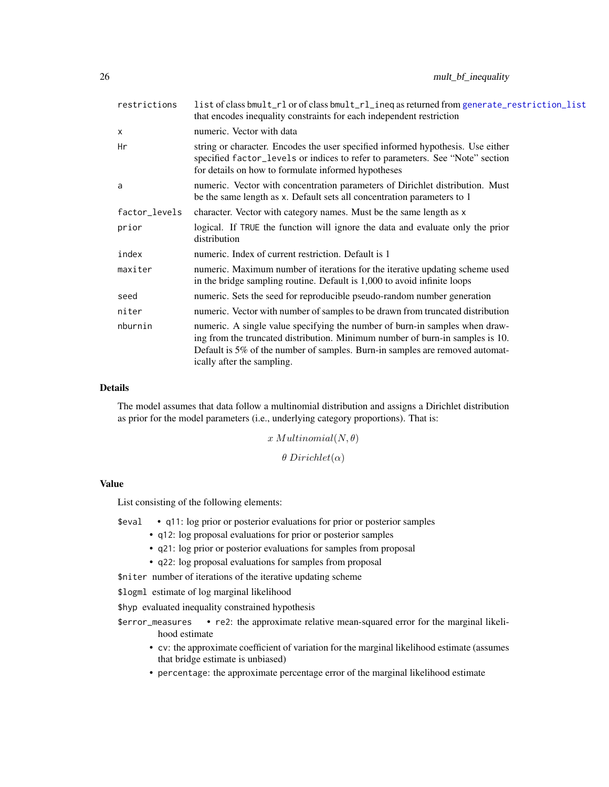<span id="page-25-0"></span>

| restrictions  | list of class bmult_rl or of class bmult_rl_ineq as returned from generate_restriction_list<br>that encodes inequality constraints for each independent restriction                                                                                                        |
|---------------|----------------------------------------------------------------------------------------------------------------------------------------------------------------------------------------------------------------------------------------------------------------------------|
| X             | numeric. Vector with data                                                                                                                                                                                                                                                  |
| Нr            | string or character. Encodes the user specified informed hypothesis. Use either<br>specified factor_levels or indices to refer to parameters. See "Note" section<br>for details on how to formulate informed hypotheses                                                    |
| a             | numeric. Vector with concentration parameters of Dirichlet distribution. Must<br>be the same length as x. Default sets all concentration parameters to 1                                                                                                                   |
| factor_levels | character. Vector with category names. Must be the same length as x                                                                                                                                                                                                        |
| prior         | logical. If TRUE the function will ignore the data and evaluate only the prior<br>distribution                                                                                                                                                                             |
| index         | numeric. Index of current restriction. Default is 1                                                                                                                                                                                                                        |
| maxiter       | numeric. Maximum number of iterations for the iterative updating scheme used<br>in the bridge sampling routine. Default is 1,000 to avoid infinite loops                                                                                                                   |
| seed          | numeric. Sets the seed for reproducible pseudo-random number generation                                                                                                                                                                                                    |
| niter         | numeric. Vector with number of samples to be drawn from truncated distribution                                                                                                                                                                                             |
| nburnin       | numeric. A single value specifying the number of burn-in samples when draw-<br>ing from the truncated distribution. Minimum number of burn-in samples is 10.<br>Default is 5% of the number of samples. Burn-in samples are removed automat-<br>ically after the sampling. |

# Details

The model assumes that data follow a multinomial distribution and assigns a Dirichlet distribution as prior for the model parameters (i.e., underlying category proportions). That is:

 $x$  Multinomial $(N, \theta)$ 

 $\theta$  Dirichlet( $\alpha$ )

# Value

List consisting of the following elements:

| \$eval |  |  |  | • q11: log prior or posterior evaluations for prior or posterior samples |  |  |  |  |
|--------|--|--|--|--------------------------------------------------------------------------|--|--|--|--|
|        |  |  |  |                                                                          |  |  |  |  |

- q12: log proposal evaluations for prior or posterior samples
- q21: log prior or posterior evaluations for samples from proposal
- q22: log proposal evaluations for samples from proposal

\$niter number of iterations of the iterative updating scheme

\$logml estimate of log marginal likelihood

\$hyp evaluated inequality constrained hypothesis

- \$error\_measures re2: the approximate relative mean-squared error for the marginal likelihood estimate
	- cv: the approximate coefficient of variation for the marginal likelihood estimate (assumes that bridge estimate is unbiased)
	- percentage: the approximate percentage error of the marginal likelihood estimate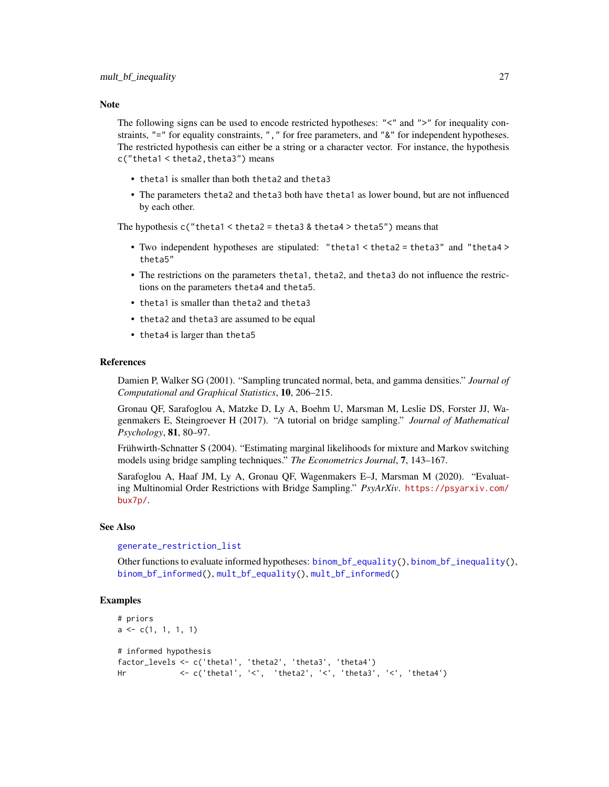#### <span id="page-26-0"></span>**Note**

The following signs can be used to encode restricted hypotheses: "<" and ">" for inequality constraints, "=" for equality constraints, ", " for free parameters, and "&" for independent hypotheses. The restricted hypothesis can either be a string or a character vector. For instance, the hypothesis c("theta1 < theta2,theta3") means

- theta1 is smaller than both theta2 and theta3
- The parameters theta2 and theta3 both have theta1 as lower bound, but are not influenced by each other.

The hypothesis  $c$  ("theta1 < theta2 = theta3 & theta4 > theta5") means that

- Two independent hypotheses are stipulated: "theta1 < theta2 = theta3" and "theta4 > theta5"
- The restrictions on the parameters theta1, theta2, and theta3 do not influence the restrictions on the parameters theta4 and theta5.
- theta1 is smaller than theta2 and theta3
- theta2 and theta3 are assumed to be equal
- theta4 is larger than theta5

#### References

Damien P, Walker SG (2001). "Sampling truncated normal, beta, and gamma densities." *Journal of Computational and Graphical Statistics*, 10, 206–215.

Gronau QF, Sarafoglou A, Matzke D, Ly A, Boehm U, Marsman M, Leslie DS, Forster JJ, Wagenmakers E, Steingroever H (2017). "A tutorial on bridge sampling." *Journal of Mathematical Psychology*, 81, 80–97.

Frühwirth-Schnatter S (2004). "Estimating marginal likelihoods for mixture and Markov switching models using bridge sampling techniques." *The Econometrics Journal*, 7, 143–167.

Sarafoglou A, Haaf JM, Ly A, Gronau QF, Wagenmakers E–J, Marsman M (2020). "Evaluating Multinomial Order Restrictions with Bridge Sampling." *PsyArXiv*. [https://psyarxiv.com/](https://psyarxiv.com/bux7p/) [bux7p/](https://psyarxiv.com/bux7p/).

#### See Also

#### [generate\\_restriction\\_list](#page-17-1)

Other functions to evaluate informed hypotheses: [binom\\_bf\\_equality\(](#page-5-1)), [binom\\_bf\\_inequality\(](#page-7-1)), [binom\\_bf\\_informed\(](#page-10-1)), [mult\\_bf\\_equality\(](#page-23-1)), [mult\\_bf\\_informed\(](#page-27-1))

#### Examples

```
# priors
a \leftarrow c(1, 1, 1, 1)# informed hypothesis
factor_levels <- c('theta1', 'theta2', 'theta3', 'theta4')
Hr <- c('theta1', '<', 'theta2', '<', 'theta3', '<', 'theta4')
```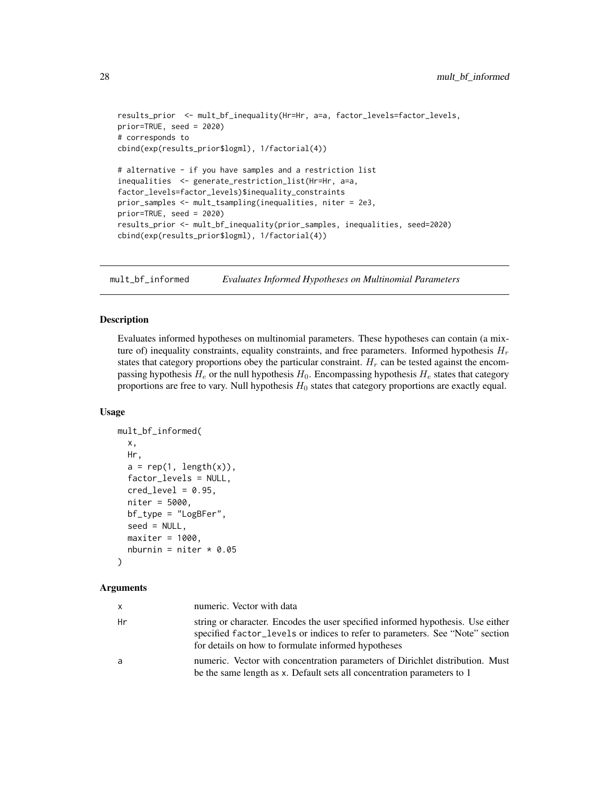```
results_prior <- mult_bf_inequality(Hr=Hr, a=a, factor_levels=factor_levels,
prior=TRUE, seed = 2020)
# corresponds to
cbind(exp(results_prior$logml), 1/factorial(4))
# alternative - if you have samples and a restriction list
inequalities <- generate_restriction_list(Hr=Hr, a=a,
factor_levels=factor_levels)$inequality_constraints
prior_samples <- mult_tsampling(inequalities, niter = 2e3,
prior=TRUE, seed = 2020)
results_prior <- mult_bf_inequality(prior_samples, inequalities, seed=2020)
cbind(exp(results_prior$logml), 1/factorial(4))
```
<span id="page-27-1"></span>mult\_bf\_informed *Evaluates Informed Hypotheses on Multinomial Parameters*

# Description

Evaluates informed hypotheses on multinomial parameters. These hypotheses can contain (a mixture of) inequality constraints, equality constraints, and free parameters. Informed hypothesis  $H_r$ states that category proportions obey the particular constraint.  $H_r$  can be tested against the encompassing hypothesis  $H_e$  or the null hypothesis  $H_0$ . Encompassing hypothesis  $H_e$  states that category proportions are free to vary. Null hypothesis  $H_0$  states that category proportions are exactly equal.

#### Usage

```
mult_bf_informed(
  x,
  Hr,
  a = rep(1, length(x)),factor_levels = NULL,
  cred\_level = 0.95,
  niter = 5000,
  bf_type = "LogBFer",
  seed = NULL,
  maxiter = 1000,
  nburnin = niter * 0.05)
```
# Arguments

| x. | numeric. Vector with data                                                                                                                                                                                               |
|----|-------------------------------------------------------------------------------------------------------------------------------------------------------------------------------------------------------------------------|
| Hr | string or character. Encodes the user specified informed hypothesis. Use either<br>specified factor_levels or indices to refer to parameters. See "Note" section<br>for details on how to formulate informed hypotheses |
| a  | numeric. Vector with concentration parameters of Dirichlet distribution. Must<br>be the same length as x. Default sets all concentration parameters to 1                                                                |

<span id="page-27-0"></span>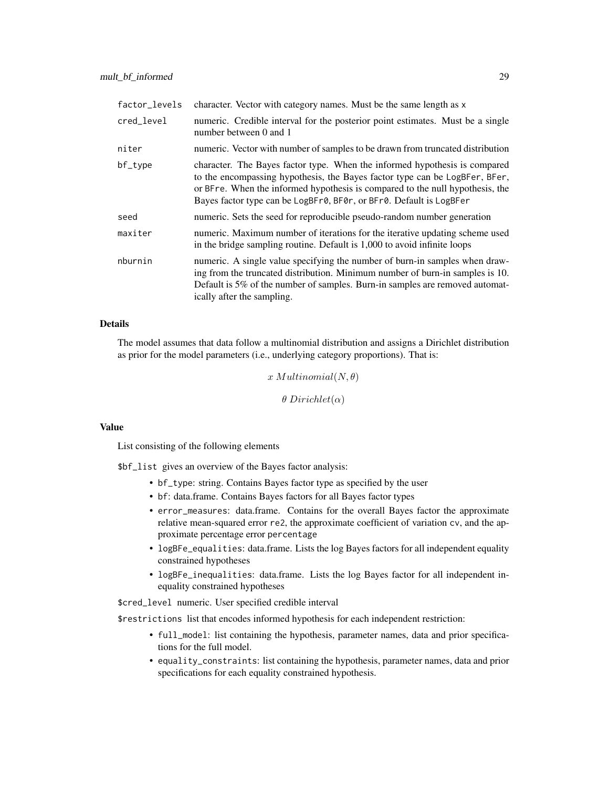| factor levels | character. Vector with category names. Must be the same length as x                                                                                                                                                                                                                                               |
|---------------|-------------------------------------------------------------------------------------------------------------------------------------------------------------------------------------------------------------------------------------------------------------------------------------------------------------------|
| cred_level    | numeric. Credible interval for the posterior point estimates. Must be a single<br>number between 0 and 1                                                                                                                                                                                                          |
| niter         | numeric. Vector with number of samples to be drawn from truncated distribution                                                                                                                                                                                                                                    |
| bf_type       | character. The Bayes factor type. When the informed hypothesis is compared<br>to the encompassing hypothesis, the Bayes factor type can be LogBFer, BFer,<br>or BFre. When the informed hypothesis is compared to the null hypothesis, the<br>Bayes factor type can be LogBFr0, BF0r, or BFr0. Default is LogBFer |
| seed          | numeric. Sets the seed for reproducible pseudo-random number generation                                                                                                                                                                                                                                           |
| maxiter       | numeric. Maximum number of iterations for the iterative updating scheme used<br>in the bridge sampling routine. Default is 1,000 to avoid infinite loops                                                                                                                                                          |
| nburnin       | numeric. A single value specifying the number of burn-in samples when draw-<br>ing from the truncated distribution. Minimum number of burn-in samples is 10.<br>Default is 5% of the number of samples. Burn-in samples are removed automat-<br>ically after the sampling.                                        |

# Details

The model assumes that data follow a multinomial distribution and assigns a Dirichlet distribution as prior for the model parameters (i.e., underlying category proportions). That is:

 $x$  Multinomial $(N, \theta)$ 

 $\theta$  Dirichlet( $\alpha$ )

#### Value

List consisting of the following elements

\$bf\_list gives an overview of the Bayes factor analysis:

- bf\_type: string. Contains Bayes factor type as specified by the user
- bf: data.frame. Contains Bayes factors for all Bayes factor types
- error\_measures: data.frame. Contains for the overall Bayes factor the approximate relative mean-squared error re2, the approximate coefficient of variation cv, and the approximate percentage error percentage
- logBFe\_equalities: data.frame. Lists the log Bayes factors for all independent equality constrained hypotheses
- logBFe\_inequalities: data.frame. Lists the log Bayes factor for all independent inequality constrained hypotheses

\$cred\_level numeric. User specified credible interval

\$restrictions list that encodes informed hypothesis for each independent restriction:

- full\_model: list containing the hypothesis, parameter names, data and prior specifications for the full model.
- equality\_constraints: list containing the hypothesis, parameter names, data and prior specifications for each equality constrained hypothesis.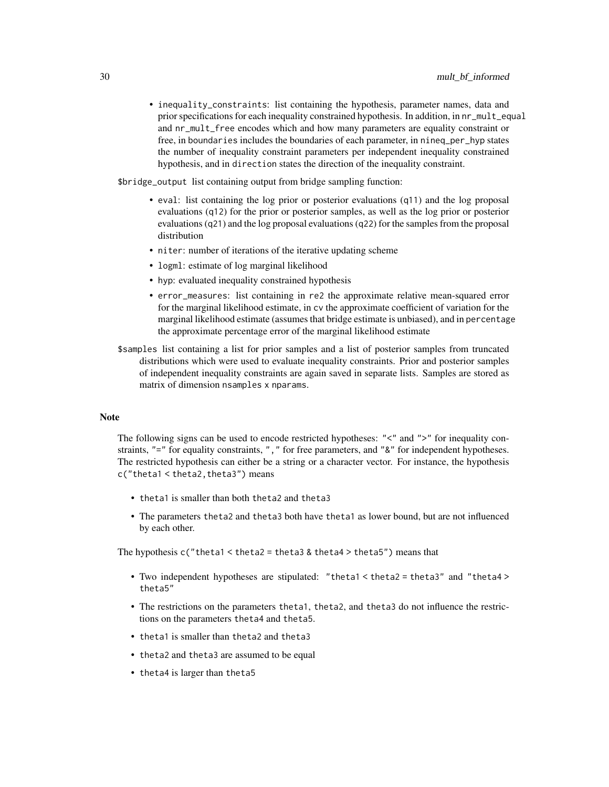• inequality\_constraints: list containing the hypothesis, parameter names, data and prior specifications for each inequality constrained hypothesis. In addition, in nr\_mult\_equal and nr\_mult\_free encodes which and how many parameters are equality constraint or free, in boundaries includes the boundaries of each parameter, in nineq\_per\_hyp states the number of inequality constraint parameters per independent inequality constrained hypothesis, and in direction states the direction of the inequality constraint.

\$bridge\_output list containing output from bridge sampling function:

- eval: list containing the log prior or posterior evaluations (q11) and the log proposal evaluations (q12) for the prior or posterior samples, as well as the log prior or posterior evaluations (q21) and the log proposal evaluations (q22) for the samples from the proposal distribution
- niter: number of iterations of the iterative updating scheme
- logml: estimate of log marginal likelihood
- hyp: evaluated inequality constrained hypothesis
- error\_measures: list containing in re2 the approximate relative mean-squared error for the marginal likelihood estimate, in cv the approximate coefficient of variation for the marginal likelihood estimate (assumes that bridge estimate is unbiased), and in percentage the approximate percentage error of the marginal likelihood estimate
- \$samples list containing a list for prior samples and a list of posterior samples from truncated distributions which were used to evaluate inequality constraints. Prior and posterior samples of independent inequality constraints are again saved in separate lists. Samples are stored as matrix of dimension nsamples x nparams.

#### Note

The following signs can be used to encode restricted hypotheses: "<" and ">" for inequality constraints, "=" for equality constraints, ", " for free parameters, and "&" for independent hypotheses. The restricted hypothesis can either be a string or a character vector. For instance, the hypothesis c("theta1 < theta2,theta3") means

- theta1 is smaller than both theta2 and theta3
- The parameters theta2 and theta3 both have theta1 as lower bound, but are not influenced by each other.

The hypothesis c("theta1 < theta2 = theta3 & theta4 > theta5") means that

- Two independent hypotheses are stipulated: "theta1 < theta2 = theta3" and "theta4 > theta5"
- The restrictions on the parameters theta1, theta2, and theta3 do not influence the restrictions on the parameters theta4 and theta5.
- theta1 is smaller than theta2 and theta3
- theta2 and theta3 are assumed to be equal
- theta4 is larger than theta5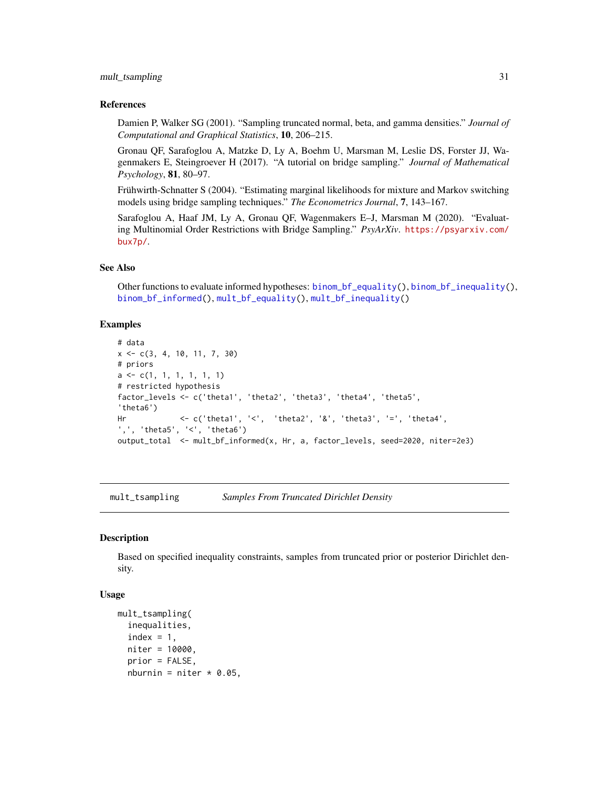#### <span id="page-30-0"></span>mult\_tsampling 31

#### References

Damien P, Walker SG (2001). "Sampling truncated normal, beta, and gamma densities." *Journal of Computational and Graphical Statistics*, 10, 206–215.

Gronau QF, Sarafoglou A, Matzke D, Ly A, Boehm U, Marsman M, Leslie DS, Forster JJ, Wagenmakers E, Steingroever H (2017). "A tutorial on bridge sampling." *Journal of Mathematical Psychology*, 81, 80–97.

Frühwirth-Schnatter S (2004). "Estimating marginal likelihoods for mixture and Markov switching models using bridge sampling techniques." *The Econometrics Journal*, 7, 143–167.

Sarafoglou A, Haaf JM, Ly A, Gronau QF, Wagenmakers E–J, Marsman M (2020). "Evaluating Multinomial Order Restrictions with Bridge Sampling." *PsyArXiv*. [https://psyarxiv.com/](https://psyarxiv.com/bux7p/) [bux7p/](https://psyarxiv.com/bux7p/).

# See Also

Other functions to evaluate informed hypotheses: [binom\\_bf\\_equality\(](#page-5-1)), [binom\\_bf\\_inequality\(](#page-7-1)), [binom\\_bf\\_informed\(](#page-10-1)), [mult\\_bf\\_equality\(](#page-23-1)), [mult\\_bf\\_inequality\(](#page-24-1))

#### Examples

```
# data
x \leq -c(3, 4, 10, 11, 7, 30)# priors
a \leftarrow c(1, 1, 1, 1, 1, 1)# restricted hypothesis
factor_levels <- c('theta1', 'theta2', 'theta3', 'theta4', 'theta5',
'theta6')
Hr <- c('theta1', '<', 'theta2', '&', 'theta3', '=', 'theta4',
',', 'theta5', '<', 'theta6')
output_total <- mult_bf_informed(x, Hr, a, factor_levels, seed=2020, niter=2e3)
```
mult\_tsampling *Samples From Truncated Dirichlet Density*

#### **Description**

Based on specified inequality constraints, samples from truncated prior or posterior Dirichlet density.

#### Usage

```
mult_tsampling(
  inequalities,
  index = 1,
  niter = 10000,
  prior = FALSE,
  nburnin = niter * 0.05,
```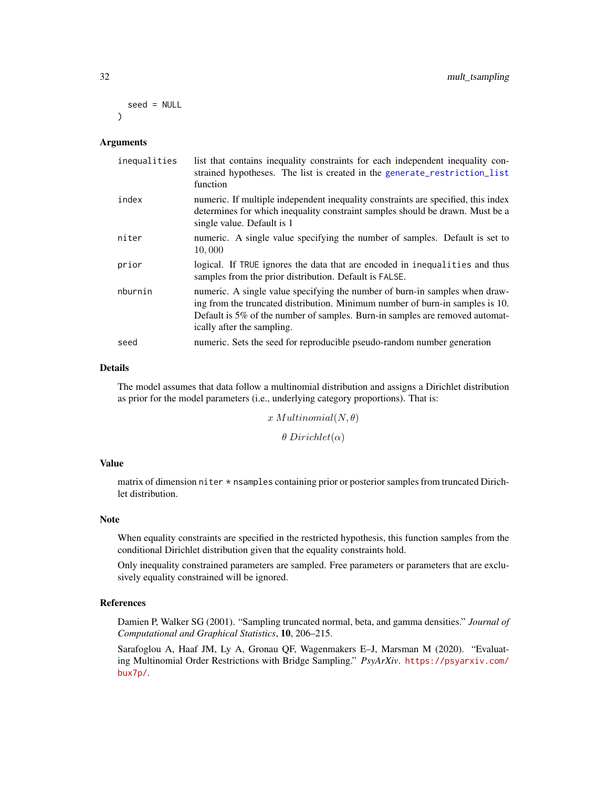```
seed = NULL
\lambda
```
# Arguments

| inequalities | list that contains inequality constraints for each independent inequality con-<br>strained hypotheses. The list is created in the generate_restriction_list<br>function                                                                                                    |
|--------------|----------------------------------------------------------------------------------------------------------------------------------------------------------------------------------------------------------------------------------------------------------------------------|
| index        | numeric. If multiple independent inequality constraints are specified, this index<br>determines for which inequality constraint samples should be drawn. Must be a<br>single value. Default is 1                                                                           |
| niter        | numeric. A single value specifying the number of samples. Default is set to<br>10,000                                                                                                                                                                                      |
| prior        | logical. If TRUE ignores the data that are encoded in inequalities and thus<br>samples from the prior distribution. Default is FALSE.                                                                                                                                      |
| nburnin      | numeric. A single value specifying the number of burn-in samples when draw-<br>ing from the truncated distribution. Minimum number of burn-in samples is 10.<br>Default is 5% of the number of samples. Burn-in samples are removed automat-<br>ically after the sampling. |
| seed         | numeric. Sets the seed for reproducible pseudo-random number generation                                                                                                                                                                                                    |

# Details

The model assumes that data follow a multinomial distribution and assigns a Dirichlet distribution as prior for the model parameters (i.e., underlying category proportions). That is:

> $x$  Multinomial $(N, \theta)$  $\theta$  Dirichlet( $\alpha$ )

#### Value

matrix of dimension niter \* nsamples containing prior or posterior samples from truncated Dirichlet distribution.

# Note

When equality constraints are specified in the restricted hypothesis, this function samples from the conditional Dirichlet distribution given that the equality constraints hold.

Only inequality constrained parameters are sampled. Free parameters or parameters that are exclusively equality constrained will be ignored.

#### References

Damien P, Walker SG (2001). "Sampling truncated normal, beta, and gamma densities." *Journal of Computational and Graphical Statistics*, 10, 206–215.

Sarafoglou A, Haaf JM, Ly A, Gronau QF, Wagenmakers E–J, Marsman M (2020). "Evaluating Multinomial Order Restrictions with Bridge Sampling." *PsyArXiv*. [https://psyarxiv.com/](https://psyarxiv.com/bux7p/) [bux7p/](https://psyarxiv.com/bux7p/).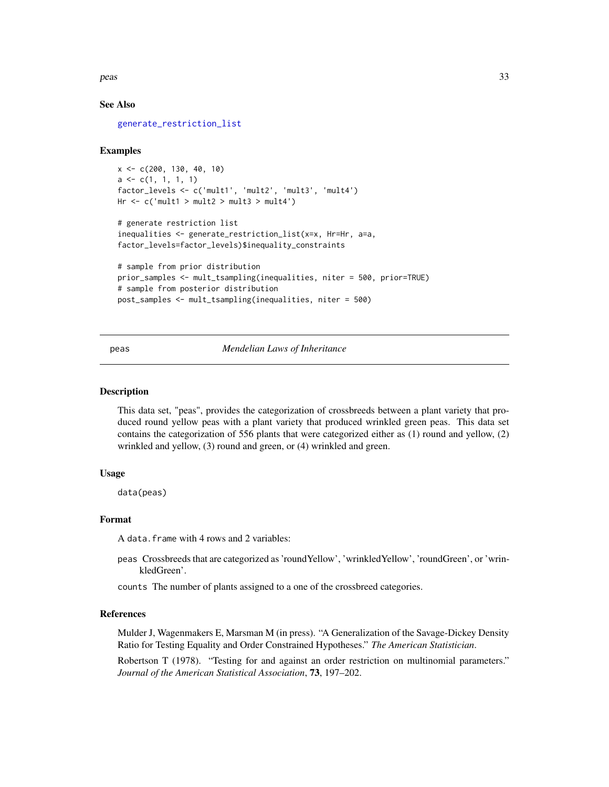<span id="page-32-0"></span>peas 33

# See Also

[generate\\_restriction\\_list](#page-17-1)

# Examples

```
x <- c(200, 130, 40, 10)
a \leftarrow c(1, 1, 1, 1)factor_levels <- c('mult1', 'mult2', 'mult3', 'mult4')
Hr < -c('mult1 > mult2 > mult3 > mult4')
```

```
# generate restriction list
inequalities <- generate_restriction_list(x=x, Hr=Hr, a=a,
factor_levels=factor_levels)$inequality_constraints
```

```
# sample from prior distribution
prior_samples <- mult_tsampling(inequalities, niter = 500, prior=TRUE)
# sample from posterior distribution
post_samples <- mult_tsampling(inequalities, niter = 500)
```
peas *Mendelian Laws of Inheritance*

#### Description

This data set, "peas", provides the categorization of crossbreeds between a plant variety that produced round yellow peas with a plant variety that produced wrinkled green peas. This data set contains the categorization of 556 plants that were categorized either as (1) round and yellow, (2) wrinkled and yellow, (3) round and green, or (4) wrinkled and green.

#### Usage

data(peas)

#### Format

A data.frame with 4 rows and 2 variables:

peas Crossbreeds that are categorized as 'roundYellow', 'wrinkledYellow', 'roundGreen', or 'wrinkledGreen'.

counts The number of plants assigned to a one of the crossbreed categories.

#### References

Mulder J, Wagenmakers E, Marsman M (in press). "A Generalization of the Savage-Dickey Density Ratio for Testing Equality and Order Constrained Hypotheses." *The American Statistician*.

Robertson T (1978). "Testing for and against an order restriction on multinomial parameters." *Journal of the American Statistical Association*, 73, 197–202.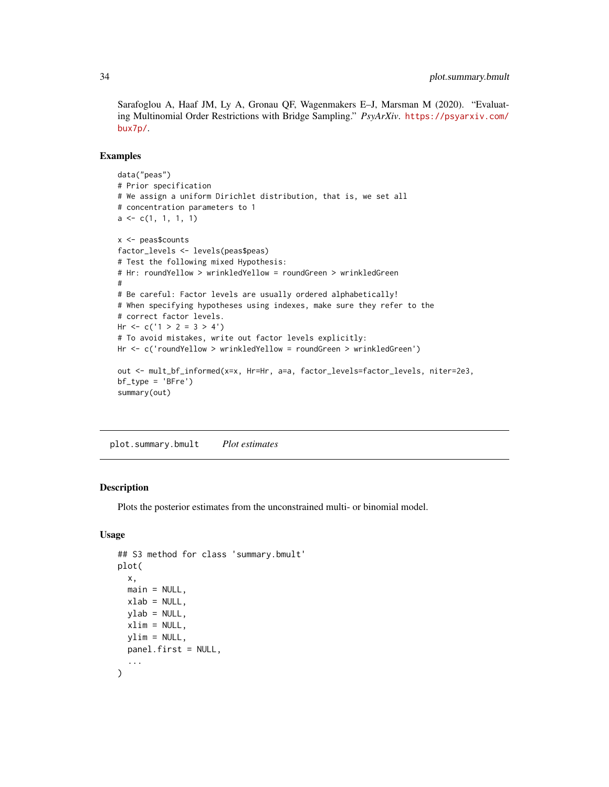<span id="page-33-0"></span>Sarafoglou A, Haaf JM, Ly A, Gronau QF, Wagenmakers E–J, Marsman M (2020). "Evaluating Multinomial Order Restrictions with Bridge Sampling." *PsyArXiv*. [https://psyarxiv.com/](https://psyarxiv.com/bux7p/) [bux7p/](https://psyarxiv.com/bux7p/).

#### Examples

```
data("peas")
# Prior specification
# We assign a uniform Dirichlet distribution, that is, we set all
# concentration parameters to 1
a \leftarrow c(1, 1, 1, 1)x <- peas$counts
factor_levels <- levels(peas$peas)
# Test the following mixed Hypothesis:
# Hr: roundYellow > wrinkledYellow = roundGreen > wrinkledGreen
#
# Be careful: Factor levels are usually ordered alphabetically!
# When specifying hypotheses using indexes, make sure they refer to the
# correct factor levels.
Hr < -c('1 > 2 = 3 > 4')# To avoid mistakes, write out factor levels explicitly:
Hr <- c('roundYellow > wrinkledYellow = roundGreen > wrinkledGreen')
out <- mult_bf_informed(x=x, Hr=Hr, a=a, factor_levels=factor_levels, niter=2e3,
bf_type = 'BFre')
summary(out)
```
plot.summary.bmult *Plot estimates*

#### **Description**

Plots the posterior estimates from the unconstrained multi- or binomial model.

#### Usage

```
## S3 method for class 'summary.bmult'
plot(
  x,
  main = NULL,xlab = NULL,
  vlab = NULL,xlim = NULL,vlim = NULL,
 panel.first = NULL,
  ...
)
```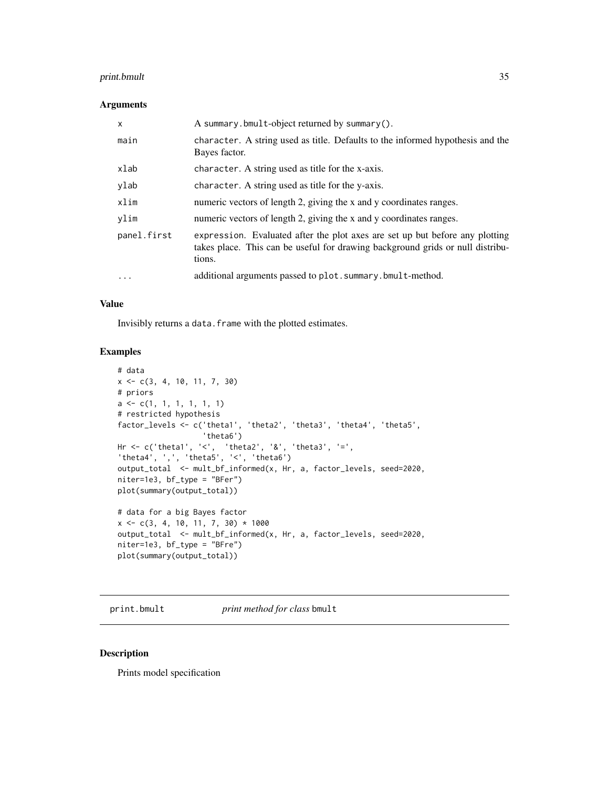# <span id="page-34-0"></span>print.bmult 35

# Arguments

| $\mathsf{x}$ | A summary.bmult-object returned by summary().                                                                                                                            |
|--------------|--------------------------------------------------------------------------------------------------------------------------------------------------------------------------|
| main         | character. A string used as title. Defaults to the informed hypothesis and the<br>Bayes factor.                                                                          |
| xlab         | character. A string used as title for the x-axis.                                                                                                                        |
| ylab         | character. A string used as title for the y-axis.                                                                                                                        |
| xlim         | numeric vectors of length 2, giving the x and y coordinates ranges.                                                                                                      |
| vlim         | numeric vectors of length 2, giving the x and y coordinates ranges.                                                                                                      |
| panel.first  | expression. Evaluated after the plot axes are set up but before any plotting<br>takes place. This can be useful for drawing background grids or null distribu-<br>tions. |
| $\ddotsc$    | additional arguments passed to plot. summary. bmult-method.                                                                                                              |

#### Value

Invisibly returns a data. frame with the plotted estimates.

# Examples

```
# data
x <- c(3, 4, 10, 11, 7, 30)
# priors
a <- c(1, 1, 1, 1, 1, 1)
# restricted hypothesis
factor_levels <- c('theta1', 'theta2', 'theta3', 'theta4', 'theta5',
                   'theta6')
Hr <- c('theta1', '<', 'theta2', '&', 'theta3', '=',
'theta4', ',', 'theta5', '<', 'theta6')
output_total <- mult_bf_informed(x, Hr, a, factor_levels, seed=2020,
niter=1e3, bf_type = "BFer")
plot(summary(output_total))
# data for a big Bayes factor
x \leq -c(3, 4, 10, 11, 7, 30) * 1000output_total <- mult_bf_informed(x, Hr, a, factor_levels, seed=2020,
niter=1e3, bf_type = "BFre")
plot(summary(output_total))
```
print.bmult *print method for class* bmult

#### Description

Prints model specification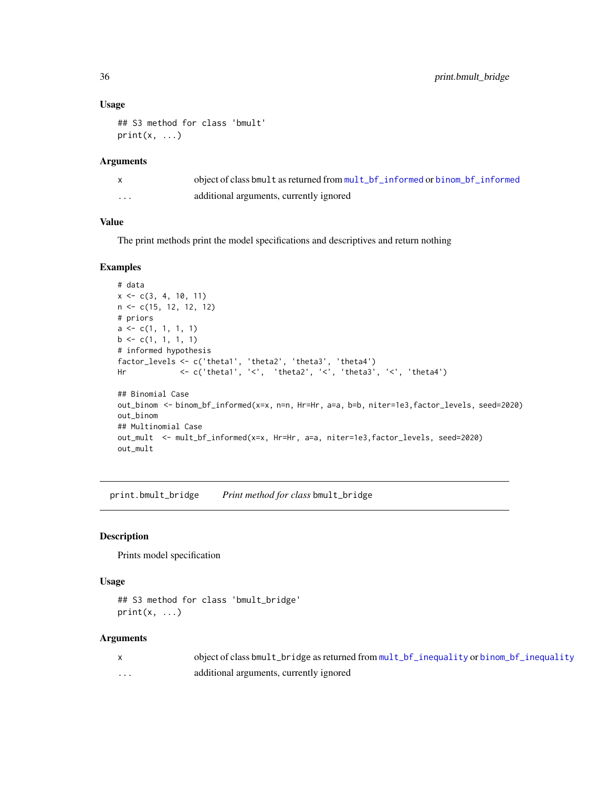#### Usage

```
## S3 method for class 'bmult'
print(x, \ldots)
```
#### Arguments

|          | object of class bmult as returned from mult_bf_informed or binom_bf_informed |
|----------|------------------------------------------------------------------------------|
| $\cdots$ | additional arguments, currently ignored                                      |

# Value

The print methods print the model specifications and descriptives and return nothing

# Examples

```
# data
x \leq -c(3, 4, 10, 11)n <- c(15, 12, 12, 12)
# priors
a \leftarrow c(1, 1, 1, 1)b \leq c(1, 1, 1, 1)# informed hypothesis
factor_levels <- c('theta1', 'theta2', 'theta3', 'theta4')
Hr <- c('theta1', '<', 'theta2', '<', 'theta3', '<', 'theta4')
## Binomial Case
out_binom <- binom_bf_informed(x=x, n=n, Hr=Hr, a=a, b=b, niter=1e3,factor_levels, seed=2020)
out_binom
## Multinomial Case
out_mult <- mult_bf_informed(x=x, Hr=Hr, a=a, niter=1e3,factor_levels, seed=2020)
out_mult
```
print.bmult\_bridge *Print method for class* bmult\_bridge

# Description

Prints model specification

#### Usage

```
## S3 method for class 'bmult_bridge'
print(x, \ldots)
```
# Arguments

|   | object of class bmult_bridge as returned from mult_bf_inequality or binom_bf_inequality |
|---|-----------------------------------------------------------------------------------------|
| . | additional arguments, currently ignored                                                 |

<span id="page-35-0"></span>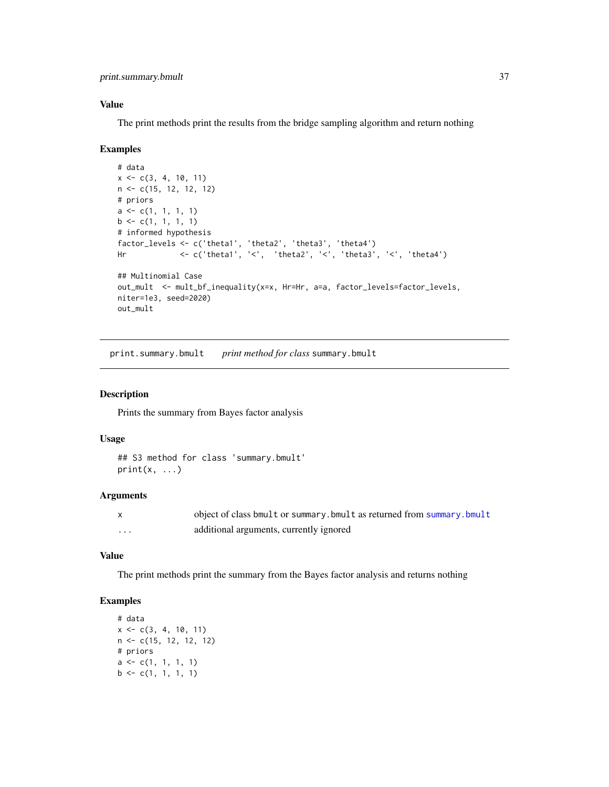<span id="page-36-0"></span>print.summary.bmult 37

# Value

The print methods print the results from the bridge sampling algorithm and return nothing

#### Examples

```
# data
x \leq -c(3, 4, 10, 11)n <- c(15, 12, 12, 12)
# priors
a \leftarrow c(1, 1, 1, 1)b \leftarrow c(1, 1, 1, 1)# informed hypothesis
factor_levels <- c('theta1', 'theta2', 'theta3', 'theta4')
Hr <- c('theta1', '<', 'theta2', '<', 'theta3', '<', 'theta4')
## Multinomial Case
out_mult <- mult_bf_inequality(x=x, Hr=Hr, a=a, factor_levels=factor_levels,
niter=1e3, seed=2020)
out_mult
```
print.summary.bmult *print method for class* summary.bmult

# Description

Prints the summary from Bayes factor analysis

# Usage

## S3 method for class 'summary.bmult'  $print(x, \ldots)$ 

#### Arguments

|   | object of class bmult or summary. bmult as returned from summary. bmult |
|---|-------------------------------------------------------------------------|
| . | additional arguments, currently ignored                                 |

#### Value

The print methods print the summary from the Bayes factor analysis and returns nothing

### Examples

```
# data
x \leq -c(3, 4, 10, 11)n <- c(15, 12, 12, 12)
# priors
a \leftarrow c(1, 1, 1, 1)b \leq c(1, 1, 1, 1)
```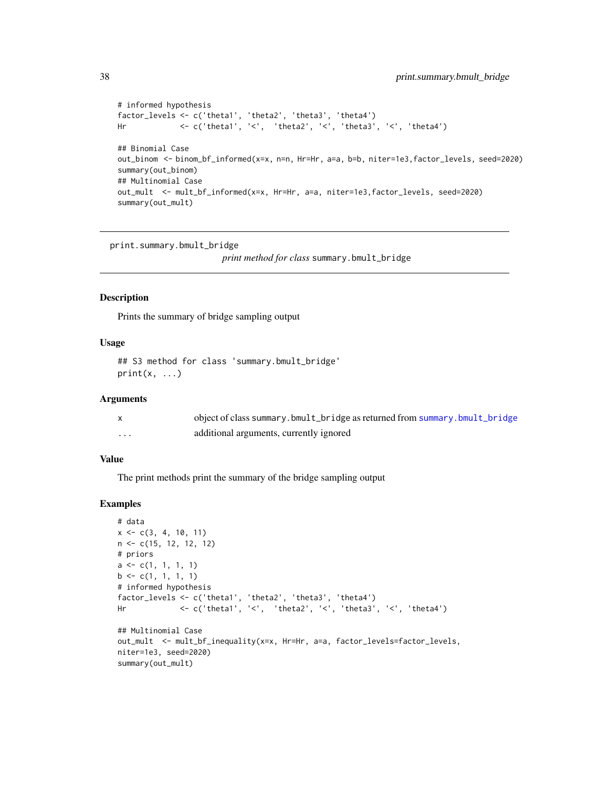```
# informed hypothesis
factor_levels <- c('theta1', 'theta2', 'theta3', 'theta4')
Hr <- c('theta1', '<', 'theta2', '<', 'theta3', '<', 'theta4')
## Binomial Case
out_binom <- binom_bf_informed(x=x, n=n, Hr=Hr, a=a, b=b, niter=1e3,factor_levels, seed=2020)
summary(out_binom)
## Multinomial Case
out_mult <- mult_bf_informed(x=x, Hr=Hr, a=a, niter=1e3,factor_levels, seed=2020)
summary(out_mult)
```
print.summary.bmult\_bridge

*print method for class* summary.bmult\_bridge

#### Description

Prints the summary of bridge sampling output

#### Usage

```
## S3 method for class 'summary.bmult_bridge'
print(x, \ldots)
```
# Arguments

|   | object of class summary.bmult_bridge as returned from summary.bmult_bridge |
|---|----------------------------------------------------------------------------|
| . | additional arguments, currently ignored                                    |

#### Value

The print methods print the summary of the bridge sampling output

#### Examples

```
# data
x \leq -c(3, 4, 10, 11)n <- c(15, 12, 12, 12)
# priors
a \leftarrow c(1, 1, 1, 1)b \leq c(1, 1, 1, 1)# informed hypothesis
factor_levels <- c('theta1', 'theta2', 'theta3', 'theta4')
Hr <- c('theta1', '<', 'theta2', '<', 'theta3', '<', 'theta4')
## Multinomial Case
out_mult <- mult_bf_inequality(x=x, Hr=Hr, a=a, factor_levels=factor_levels,
niter=1e3, seed=2020)
summary(out_mult)
```
<span id="page-37-0"></span>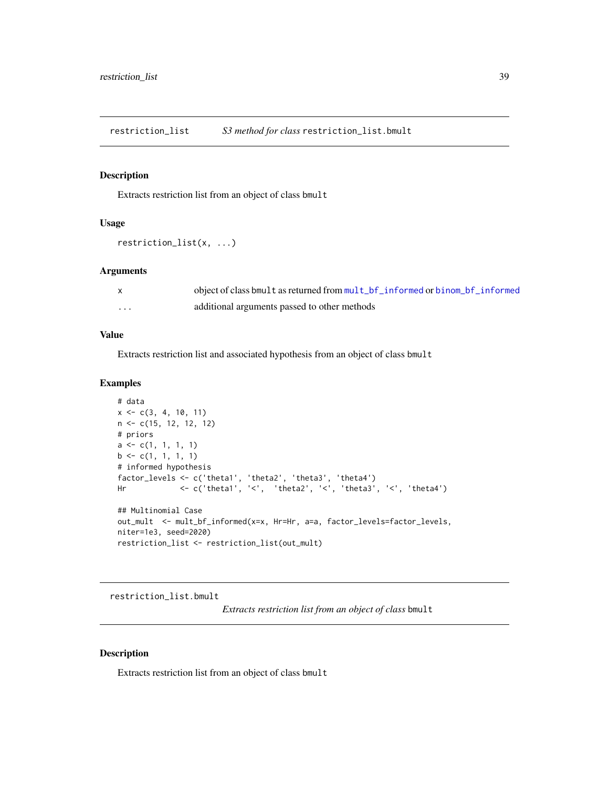<span id="page-38-0"></span>restriction\_list *S3 method for class* restriction\_list.bmult

# Description

Extracts restriction list from an object of class bmult

# Usage

```
restriction_list(x, ...)
```
#### Arguments

|   | object of class bmult as returned from mult_bf_informed or binom_bf_informed |
|---|------------------------------------------------------------------------------|
| . | additional arguments passed to other methods                                 |

#### Value

Extracts restriction list and associated hypothesis from an object of class bmult

# Examples

```
# data
x \leq -c(3, 4, 10, 11)n <- c(15, 12, 12, 12)
# priors
a \leftarrow c(1, 1, 1, 1)b \leftarrow c(1, 1, 1, 1)# informed hypothesis
factor_levels <- c('theta1', 'theta2', 'theta3', 'theta4')
Hr <- c('theta1', '<', 'theta2', '<', 'theta3', '<', 'theta4')
## Multinomial Case
out_mult <- mult_bf_informed(x=x, Hr=Hr, a=a, factor_levels=factor_levels,
niter=1e3, seed=2020)
restriction_list <- restriction_list(out_mult)
```
restriction\_list.bmult

*Extracts restriction list from an object of class* bmult

#### Description

Extracts restriction list from an object of class bmult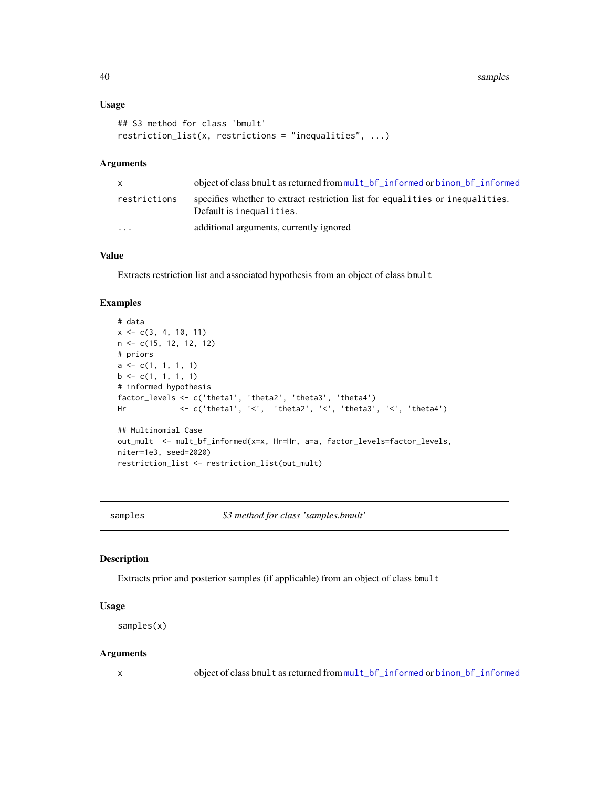#### <span id="page-39-0"></span>Usage

```
## S3 method for class 'bmult'
restriction_list(x, restrictions = "inequalities", ...)
```
# Arguments

| X.           | object of class bmult as returned from mult_bf_informed or binom_bf_informed                              |
|--------------|-----------------------------------------------------------------------------------------------------------|
| restrictions | specifies whether to extract restriction list for equalities or inequalities.<br>Default is inequalities. |
| $\cdots$     | additional arguments, currently ignored                                                                   |

# Value

Extracts restriction list and associated hypothesis from an object of class bmult

# Examples

```
# data
x \leq -c(3, 4, 10, 11)n <- c(15, 12, 12, 12)
# priors
a \leftarrow c(1, 1, 1, 1)b \leftarrow c(1, 1, 1, 1)# informed hypothesis
factor_levels <- c('theta1', 'theta2', 'theta3', 'theta4')
Hr <- c('theta1', '<', 'theta2', '<', 'theta3', '<', 'theta4')
## Multinomial Case
out_mult <- mult_bf_informed(x=x, Hr=Hr, a=a, factor_levels=factor_levels,
niter=1e3, seed=2020)
restriction_list <- restriction_list(out_mult)
```
samples *S3 method for class 'samples.bmult'*

#### Description

Extracts prior and posterior samples (if applicable) from an object of class bmult

# Usage

samples(x)

#### **Arguments**

x object of class bmult as returned from [mult\\_bf\\_informed](#page-27-1) or [binom\\_bf\\_informed](#page-10-1)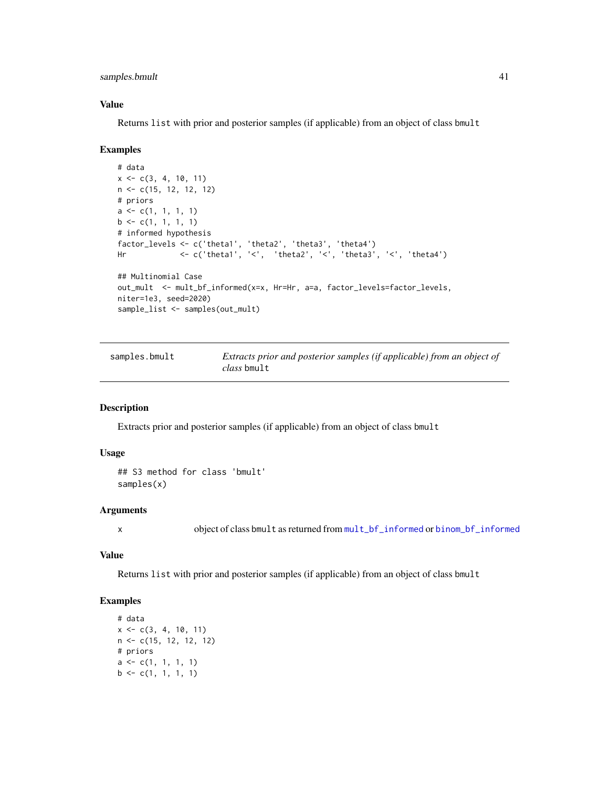<span id="page-40-0"></span>samples.bmult 41

# Value

Returns list with prior and posterior samples (if applicable) from an object of class bmult

#### Examples

```
# data
x \leq -c(3, 4, 10, 11)n <- c(15, 12, 12, 12)
# priors
a \leftarrow c(1, 1, 1, 1)b \leq c(1, 1, 1, 1)# informed hypothesis
factor_levels <- c('theta1', 'theta2', 'theta3', 'theta4')
Hr <- c('theta1', '<', 'theta2', '<', 'theta3', '<', 'theta4')
## Multinomial Case
out_mult <- mult_bf_informed(x=x, Hr=Hr, a=a, factor_levels=factor_levels,
niter=1e3, seed=2020)
sample_list <- samples(out_mult)
```
samples.bmult *Extracts prior and posterior samples (if applicable) from an object of class* bmult

#### Description

Extracts prior and posterior samples (if applicable) from an object of class bmult

# Usage

```
## S3 method for class 'bmult'
samples(x)
```
# Arguments

x object of class bmult as returned from [mult\\_bf\\_informed](#page-27-1) or [binom\\_bf\\_informed](#page-10-1)

# Value

Returns list with prior and posterior samples (if applicable) from an object of class bmult

# Examples

```
# data
x \leq -c(3, 4, 10, 11)n <- c(15, 12, 12, 12)
# priors
a \leftarrow c(1, 1, 1, 1)b \leq c(1, 1, 1, 1)
```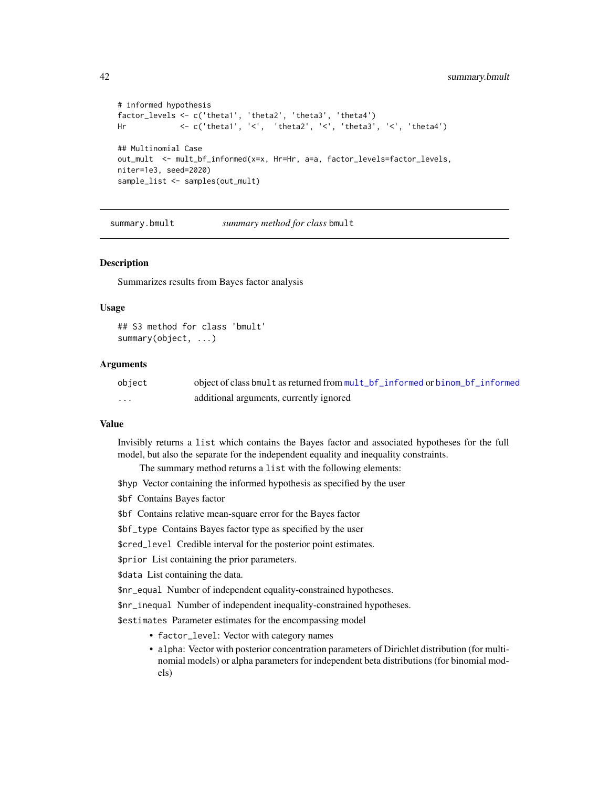```
# informed hypothesis
factor_levels <- c('theta1', 'theta2', 'theta3', 'theta4')
Hr <- c('theta1', '<', 'theta2', '<', 'theta3', '<', 'theta4')
## Multinomial Case
out_mult <- mult_bf_informed(x=x, Hr=Hr, a=a, factor_levels=factor_levels,
niter=1e3, seed=2020)
sample_list <- samples(out_mult)
```
<span id="page-41-1"></span>summary.bmult *summary method for class* bmult

# Description

Summarizes results from Bayes factor analysis

#### Usage

```
## S3 method for class 'bmult'
summary(object, ...)
```
#### Arguments

| object   | object of class bmult as returned from mult_bf_informed or binom_bf_informed |
|----------|------------------------------------------------------------------------------|
| $\cdots$ | additional arguments, currently ignored                                      |

#### Value

Invisibly returns a list which contains the Bayes factor and associated hypotheses for the full model, but also the separate for the independent equality and inequality constraints.

The summary method returns a list with the following elements:

- \$hyp Vector containing the informed hypothesis as specified by the user
- \$bf Contains Bayes factor
- \$bf Contains relative mean-square error for the Bayes factor
- \$bf\_type Contains Bayes factor type as specified by the user
- \$cred\_level Credible interval for the posterior point estimates.
- \$prior List containing the prior parameters.

\$data List containing the data.

- \$nr\_equal Number of independent equality-constrained hypotheses.
- \$nr\_inequal Number of independent inequality-constrained hypotheses.
- \$estimates Parameter estimates for the encompassing model
	- factor\_level: Vector with category names
	- alpha: Vector with posterior concentration parameters of Dirichlet distribution (for multinomial models) or alpha parameters for independent beta distributions (for binomial models)

<span id="page-41-0"></span>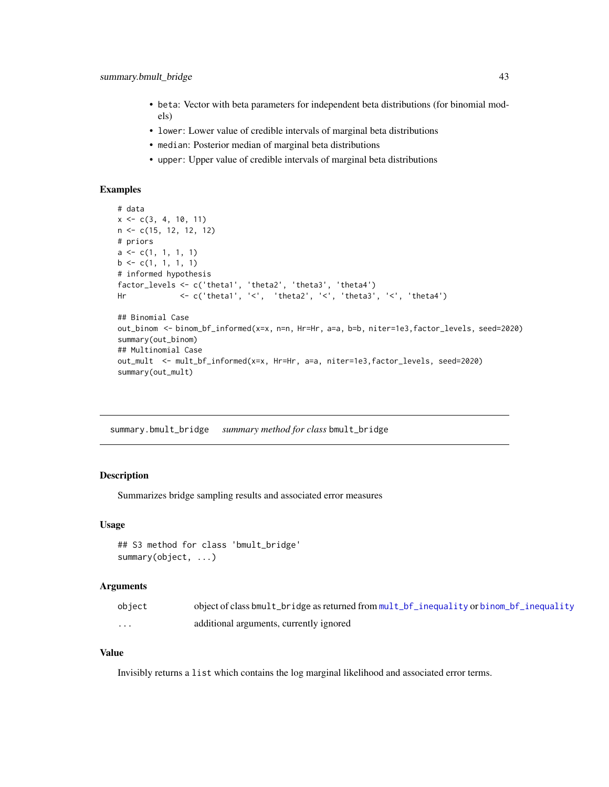- <span id="page-42-0"></span>• beta: Vector with beta parameters for independent beta distributions (for binomial models)
- lower: Lower value of credible intervals of marginal beta distributions
- median: Posterior median of marginal beta distributions
- upper: Upper value of credible intervals of marginal beta distributions

#### Examples

```
# data
x \leq -c(3, 4, 10, 11)n <- c(15, 12, 12, 12)
# priors
a \leftarrow c(1, 1, 1, 1)b \leq c(1, 1, 1, 1)# informed hypothesis
factor_levels <- c('theta1', 'theta2', 'theta3', 'theta4')
Hr <- c('theta1', '<', 'theta2', '<', 'theta3', '<', 'theta4')
## Binomial Case
out_binom <- binom_bf_informed(x=x, n=n, Hr=Hr, a=a, b=b, niter=1e3,factor_levels, seed=2020)
summary(out_binom)
## Multinomial Case
out_mult <- mult_bf_informed(x=x, Hr=Hr, a=a, niter=1e3,factor_levels, seed=2020)
summary(out_mult)
```
<span id="page-42-1"></span>summary.bmult\_bridge *summary method for class* bmult\_bridge

# Description

Summarizes bridge sampling results and associated error measures

#### Usage

```
## S3 method for class 'bmult_bridge'
summary(object, ...)
```
#### Arguments

| object   | object of class bmult_bridge as returned from mult_bf_inequality or binom_bf_inequality |
|----------|-----------------------------------------------------------------------------------------|
| $\cdots$ | additional arguments, currently ignored                                                 |

#### Value

Invisibly returns a list which contains the log marginal likelihood and associated error terms.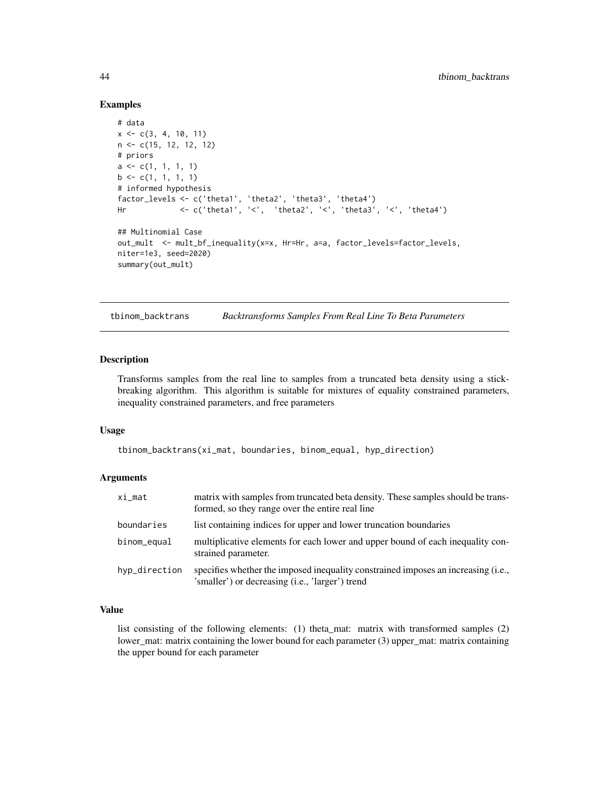#### Examples

```
# data
x \leq -c(3, 4, 10, 11)n <- c(15, 12, 12, 12)
# priors
a \leftarrow c(1, 1, 1, 1)b \leq c(1, 1, 1, 1)# informed hypothesis
factor_levels <- c('theta1', 'theta2', 'theta3', 'theta4')
Hr <- c('theta1', '<', 'theta2', '<', 'theta3', '<', 'theta4')
## Multinomial Case
out_mult <- mult_bf_inequality(x=x, Hr=Hr, a=a, factor_levels=factor_levels,
niter=1e3, seed=2020)
summary(out_mult)
```
tbinom\_backtrans *Backtransforms Samples From Real Line To Beta Parameters*

# Description

Transforms samples from the real line to samples from a truncated beta density using a stickbreaking algorithm. This algorithm is suitable for mixtures of equality constrained parameters, inequality constrained parameters, and free parameters

#### Usage

```
tbinom_backtrans(xi_mat, boundaries, binom_equal, hyp_direction)
```
#### **Arguments**

| $xi$ _mat     | matrix with samples from truncated beta density. These samples should be trans-<br>formed, so they range over the entire real line   |
|---------------|--------------------------------------------------------------------------------------------------------------------------------------|
| boundaries    | list containing indices for upper and lower truncation boundaries                                                                    |
| binom_equal   | multiplicative elements for each lower and upper bound of each inequality con-<br>strained parameter.                                |
| hyp_direction | specifies whether the imposed inequality constrained imposes an increasing (i.e.,<br>'smaller') or decreasing (i.e., 'larger') trend |

# Value

list consisting of the following elements: (1) theta\_mat: matrix with transformed samples (2) lower\_mat: matrix containing the lower bound for each parameter (3) upper\_mat: matrix containing the upper bound for each parameter

<span id="page-43-0"></span>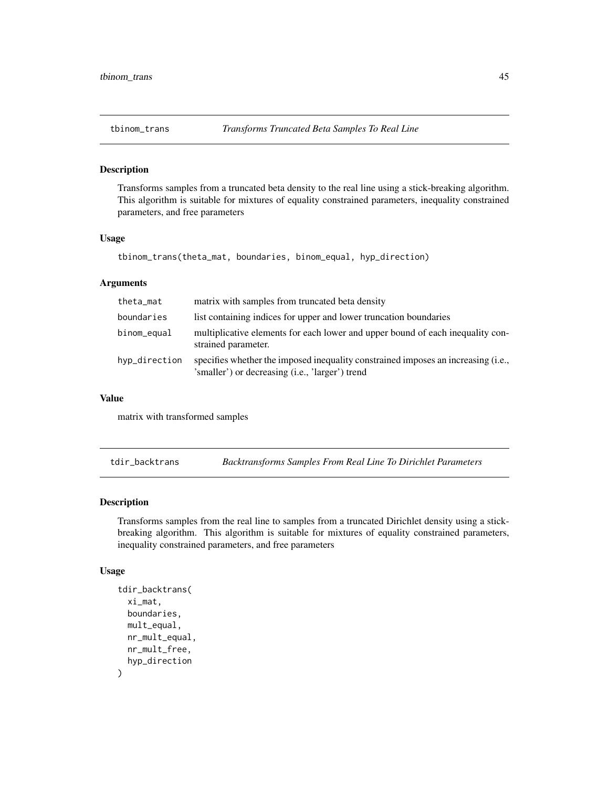# <span id="page-44-0"></span>Description

Transforms samples from a truncated beta density to the real line using a stick-breaking algorithm. This algorithm is suitable for mixtures of equality constrained parameters, inequality constrained parameters, and free parameters

#### Usage

```
tbinom_trans(theta_mat, boundaries, binom_equal, hyp_direction)
```
#### Arguments

| theta_mat     | matrix with samples from truncated beta density                                                                                      |
|---------------|--------------------------------------------------------------------------------------------------------------------------------------|
| boundaries    | list containing indices for upper and lower truncation boundaries                                                                    |
| binom_equal   | multiplicative elements for each lower and upper bound of each inequality con-<br>strained parameter.                                |
| hyp_direction | specifies whether the imposed inequality constrained imposes an increasing (i.e.,<br>'smaller') or decreasing (i.e., 'larger') trend |

# Value

matrix with transformed samples

tdir\_backtrans *Backtransforms Samples From Real Line To Dirichlet Parameters*

# Description

Transforms samples from the real line to samples from a truncated Dirichlet density using a stickbreaking algorithm. This algorithm is suitable for mixtures of equality constrained parameters, inequality constrained parameters, and free parameters

# Usage

```
tdir_backtrans(
  xi_mat,
 boundaries,
 mult_equal,
  nr_mult_equal,
 nr_mult_free,
  hyp_direction
)
```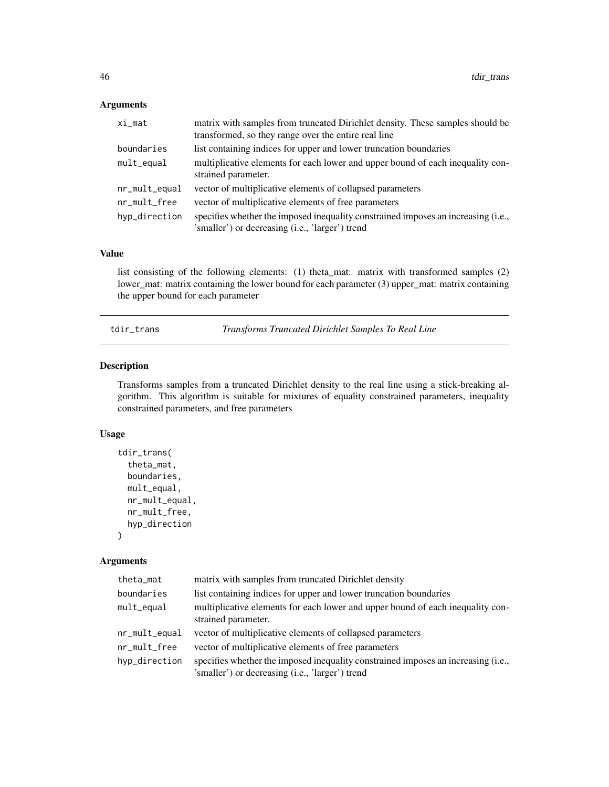# <span id="page-45-0"></span>Arguments

| $xi$ _mat     | matrix with samples from truncated Dirichlet density. These samples should be<br>transformed, so they range over the entire real line |
|---------------|---------------------------------------------------------------------------------------------------------------------------------------|
| boundaries    | list containing indices for upper and lower truncation boundaries                                                                     |
| mult_equal    | multiplicative elements for each lower and upper bound of each inequality con-<br>strained parameter.                                 |
| nr_mult_equal | vector of multiplicative elements of collapsed parameters                                                                             |
| nr_mult_free  | vector of multiplicative elements of free parameters                                                                                  |
| hyp_direction | specifies whether the imposed inequality constrained imposes an increasing (i.e.,<br>'smaller') or decreasing (i.e., 'larger') trend  |

# Value

list consisting of the following elements: (1) theta\_mat: matrix with transformed samples (2) lower\_mat: matrix containing the lower bound for each parameter (3) upper\_mat: matrix containing the upper bound for each parameter

tdir\_trans *Transforms Truncated Dirichlet Samples To Real Line*

# Description

Transforms samples from a truncated Dirichlet density to the real line using a stick-breaking algorithm. This algorithm is suitable for mixtures of equality constrained parameters, inequality constrained parameters, and free parameters

# Usage

```
tdir_trans(
  theta_mat,
  boundaries,
  mult_equal,
  nr_mult_equal,
  nr_mult_free,
  hyp_direction
)
```
#### Arguments

| theta_mat     | matrix with samples from truncated Dirichlet density                                                                                 |
|---------------|--------------------------------------------------------------------------------------------------------------------------------------|
| boundaries    | list containing indices for upper and lower truncation boundaries                                                                    |
| mult_equal    | multiplicative elements for each lower and upper bound of each inequality con-<br>strained parameter.                                |
| nr_mult_equal | vector of multiplicative elements of collapsed parameters                                                                            |
| nr_mult_free  | vector of multiplicative elements of free parameters                                                                                 |
| hyp_direction | specifies whether the imposed inequality constrained imposes an increasing (i.e.,<br>'smaller') or decreasing (i.e., 'larger') trend |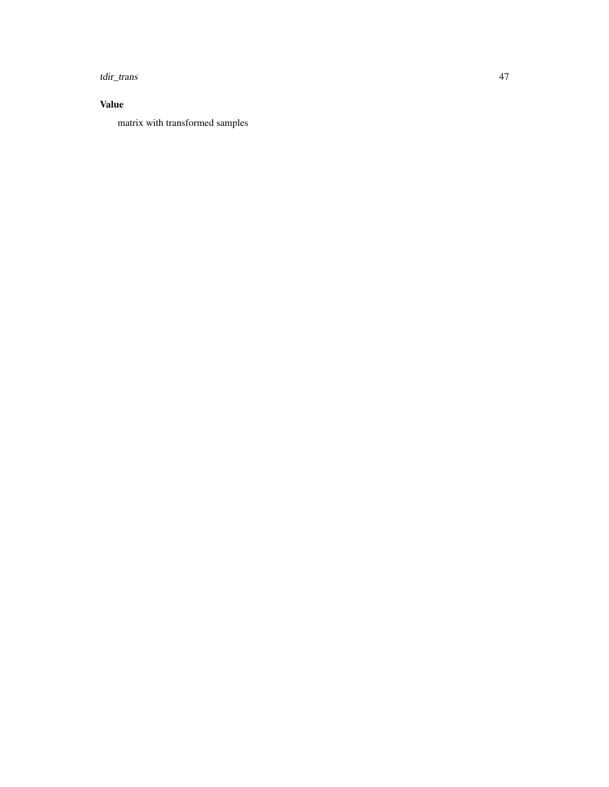tdir\_trans 47

# Value

matrix with transformed samples